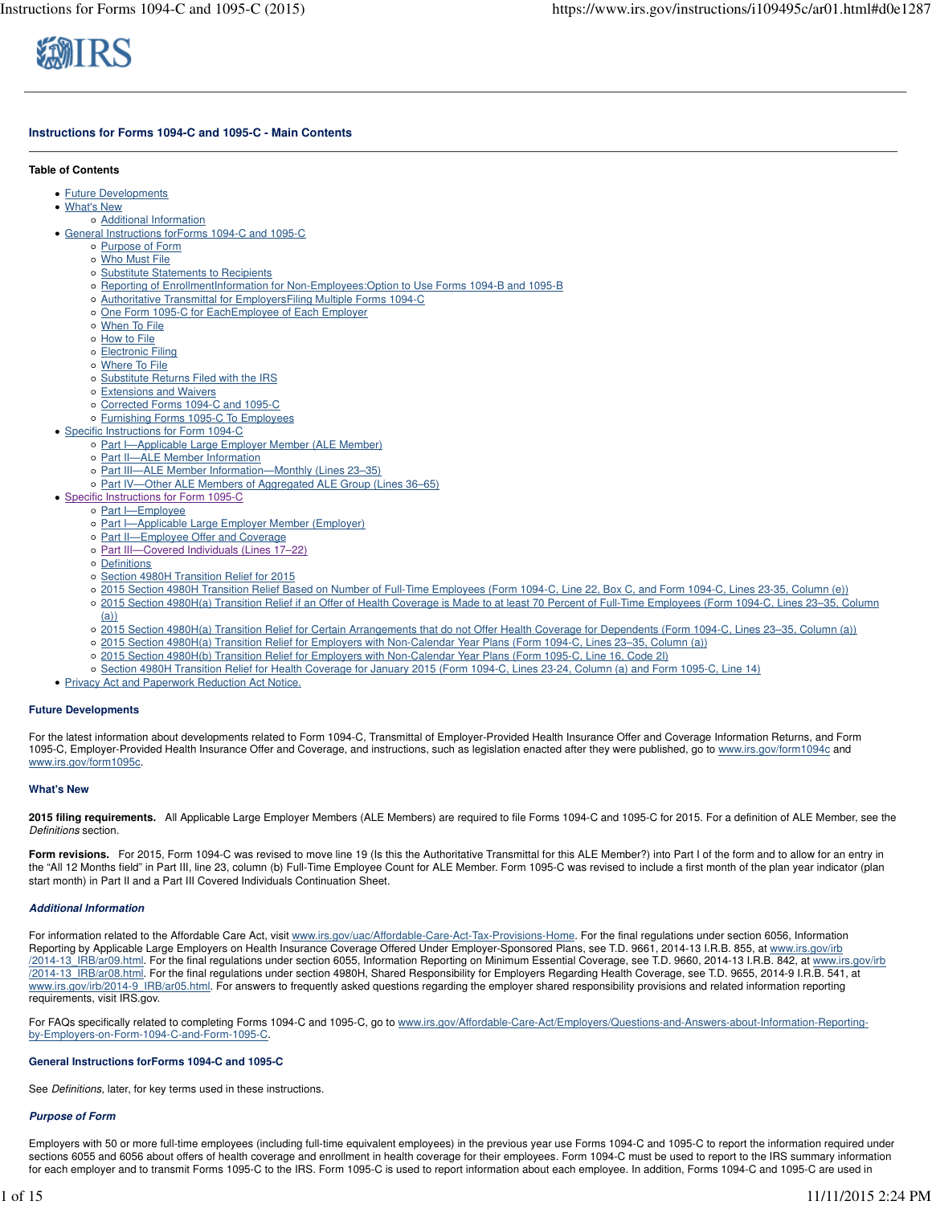

# **Instructions for Forms 1094-C and 1095-C - Main Contents**

#### **Table of Contents**

- Future Developments
- What's New
	- Additional Information
- General Instructions forForms 1094-C and 1095-C
	- o Purpose of Form
	- Who Must File
	- o Substitute Statements to Recipients
	- Reporting of EnrollmentInformation for Non-Employees:Option to Use Forms 1094-B and 1095-B
	- o Authoritative Transmittal for EmployersFiling Multiple Forms 1094-C
	- o One Form 1095-C for EachEmployee of Each Employer
	- When To File
	- o How to File
	- Electronic Filing
	- Where To File
	- o Substitute Returns Filed with the IRS
	- Extensions and Waivers
	- o Corrected Forms 1094-C and 1095-C
	- o Furnishing Forms 1095-C To Employees
- Specific Instructions for Form 1094-C
	- Part I—Applicable Large Employer Member (ALE Member)
	- o Part II-ALE Member Information
	- o Part III—ALE Member Information—Monthly (Lines 23-35)
	- o Part IV-Other ALE Members of Aggregated ALE Group (Lines 36-65)
- Specific Instructions for Form 1095-C
- o Part I-Employee
	- o Part I-Applicable Large Employer Member (Employer)
	- o Part II-Employee Offer and Coverage
	- o Part III—Covered Individuals (Lines 17–22)
	- Definitions
	- o Section 4980H Transition Relief for 2015
	- 2015 Section 4980H Transition Relief Based on Number of Full-Time Employees (Form 1094-C, Line 22, Box C, and Form 1094-C, Lines 23-35, Column (e))
	- 2015 Section 4980H(a) Transition Relief if an Offer of Health Coverage is Made to at least 70 Percent of Full-Time Employees (Form 1094-C, Lines 23–35, Column (a))
	- 2015 Section 4980H(a) Transition Relief for Certain Arrangements that do not Offer Health Coverage for Dependents (Form 1094-C, Lines 23–35, Column (a))
	- 2015 Section 4980H(a) Transition Relief for Employers with Non-Calendar Year Plans (Form 1094-C, Lines 23–35, Column (a))
	- 2015 Section 4980H(b) Transition Relief for Employers with Non-Calendar Year Plans (Form 1095-C, Line 16, Code 2I)
	- Section 4980H Transition Relief for Health Coverage for January 2015 (Form 1094-C, Lines 23-24, Column (a) and Form 1095-C, Line 14)
- Privacy Act and Paperwork Reduction Act Notice.

#### **Future Developments**

For the latest information about developments related to Form 1094-C, Transmittal of Employer-Provided Health Insurance Offer and Coverage Information Returns, and Form 1095-C, Employer-Provided Health Insurance Offer and Coverage, and instructions, such as legislation enacted after they were published, go to www.irs.gov/form1094c and www.irs.gov/form1095c.

#### **What's New**

**2015 filing requirements.** All Applicable Large Employer Members (ALE Members) are required to file Forms 1094-C and 1095-C for 2015. For a definition of ALE Member, see the Definitions section.

Form revisions. For 2015, Form 1094-C was revised to move line 19 (Is this the Authoritative Transmittal for this ALE Member?) into Part I of the form and to allow for an entry in the "All 12 Months field" in Part III, line 23, column (b) Full-Time Employee Count for ALE Member. Form 1095-C was revised to include a first month of the plan year indicator (plan start month) in Part II and a Part III Covered Individuals Continuation Sheet.

# **Additional Information**

For information related to the Affordable Care Act, visit www.irs.gov/uac/Affordable-Care-Act-Tax-Provisions-Home. For the final regulations under section 6056, Information Reporting by Applicable Large Employers on Health Insurance Coverage Offered Under Employer-Sponsored Plans, see T.D. 9661, 2014-13 I.R.B. 855, at www.irs.gov/irb /2014-13\_IRB/ar09.html. For the final regulations under section 6055, Information Reporting on Minimum Essential Coverage, see T.D. 9660, 2014-13 I.R.B. 842, at www.irs.gov/irb /2014-13\_IRB/ar08.html. For the final regulations under section 4980H, Shared Responsibility for Employers Regarding Health Coverage, see T.D. 9655, 2014-9 I.R.B. 541, at www.irs.gov/irb/2014-9\_IRB/ar05.html. For answers to frequently asked questions regarding the employer shared responsibility provisions and related information reporting requirements, visit IRS.gov.

For FAQs specifically related to completing Forms 1094-C and 1095-C, go to www.irs.gov/Affordable-Care-Act/Employers/Questions-and-Answers-about-Information-Reportingby-Employers-on-Form-1094-C-and-Form-1095-C.

#### **General Instructions forForms 1094-C and 1095-C**

See Definitions, later, for key terms used in these instructions.

#### **Purpose of Form**

Employers with 50 or more full-time employees (including full-time equivalent employees) in the previous year use Forms 1094-C and 1095-C to report the information required under sections 6055 and 6056 about offers of health coverage and enrollment in health coverage for their employees. Form 1094-C must be used to report to the IRS summary information for each employer and to transmit Forms 1095-C to the IRS. Form 1095-C is used to report information about each employee. In addition, Forms 1094-C and 1095-C are used in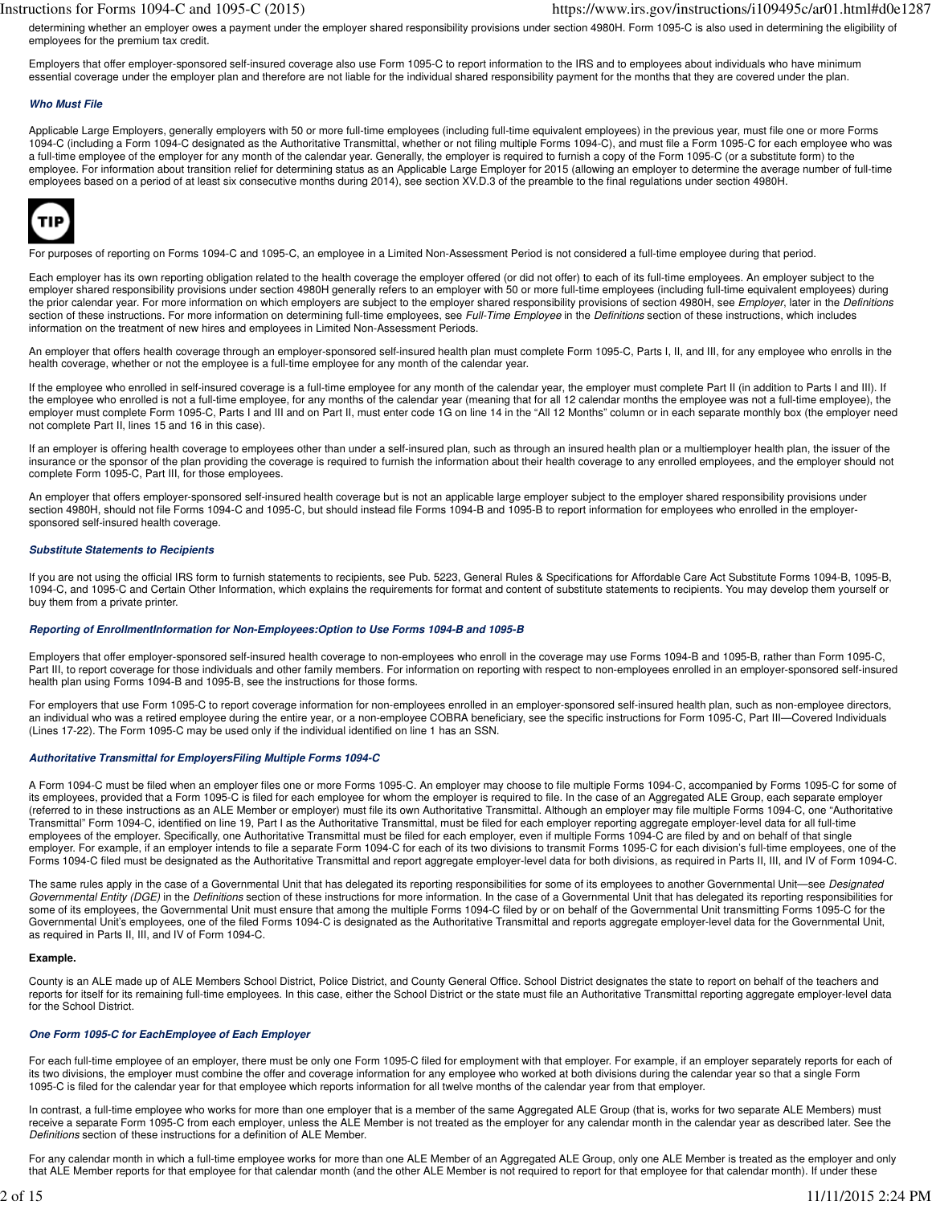determining whether an employer owes a payment under the employer shared responsibility provisions under section 4980H. Form 1095-C is also used in determining the eligibility of employees for the premium tax credit.

Employers that offer employer-sponsored self-insured coverage also use Form 1095-C to report information to the IRS and to employees about individuals who have minimum essential coverage under the employer plan and therefore are not liable for the individual shared responsibility payment for the months that they are covered under the plan.

#### **Who Must File**

Applicable Large Employers, generally employers with 50 or more full-time employees (including full-time equivalent employees) in the previous year, must file one or more Forms 1094-C (including a Form 1094-C designated as the Authoritative Transmittal, whether or not filing multiple Forms 1094-C), and must file a Form 1095-C for each employee who was a full-time employee of the employer for any month of the calendar year. Generally, the employer is required to furnish a copy of the Form 1095-C (or a substitute form) to the employee. For information about transition relief for determining status as an Applicable Large Employer for 2015 (allowing an employer to determine the average number of full-time employees based on a period of at least six consecutive months during 2014), see section XV.D.3 of the preamble to the final regulations under section 4980H.



For purposes of reporting on Forms 1094-C and 1095-C, an employee in a Limited Non-Assessment Period is not considered a full-time employee during that period.

Each employer has its own reporting obligation related to the health coverage the employer offered (or did not offer) to each of its full-time employees. An employer subject to the employer shared responsibility provisions under section 4980H generally refers to an employer with 50 or more full-time employees (including full-time equivalent employees) during the prior calendar year. For more information on which employers are subject to the employer shared responsibility provisions of section 4980H, see Employer, later in the Definitions section of these instructions. For more information on determining full-time employees, see Full-Time Employee in the Definitions section of these instructions, which includes information on the treatment of new hires and employees in Limited Non-Assessment Periods.

An employer that offers health coverage through an employer-sponsored self-insured health plan must complete Form 1095-C, Parts I, II, and III, for any employee who enrolls in the health coverage, whether or not the employee is a full-time employee for any month of the calendar year.

If the employee who enrolled in self-insured coverage is a full-time employee for any month of the calendar year, the employer must complete Part II (in addition to Parts I and III). If the employee who enrolled is not a full-time employee, for any months of the calendar year (meaning that for all 12 calendar months the employee was not a full-time employee), the employer must complete Form 1095-C, Parts I and III and on Part II, must enter code 1G on line 14 in the "All 12 Months" column or in each separate monthly box (the employer need not complete Part II, lines 15 and 16 in this case).

If an employer is offering health coverage to employees other than under a self-insured plan, such as through an insured health plan or a multiemployer health plan, the issuer of the insurance or the sponsor of the plan providing the coverage is required to furnish the information about their health coverage to any enrolled employees, and the employer should not complete Form 1095-C, Part III, for those employees.

An employer that offers employer-sponsored self-insured health coverage but is not an applicable large employer subject to the employer shared responsibility provisions under section 4980H, should not file Forms 1094-C and 1095-C, but should instead file Forms 1094-B and 1095-B to report information for employees who enrolled in the employersponsored self-insured health coverage.

### **Substitute Statements to Recipients**

If you are not using the official IRS form to furnish statements to recipients, see Pub. 5223, General Rules & Specifications for Affordable Care Act Substitute Forms 1094-B, 1095-B, 1094-C, and 1095-C and Certain Other Information, which explains the requirements for format and content of substitute statements to recipients. You may develop them yourself or buy them from a private printer.

#### **Reporting of EnrollmentInformation for Non-Employees:Option to Use Forms 1094-B and 1095-B**

Employers that offer employer-sponsored self-insured health coverage to non-employees who enroll in the coverage may use Forms 1094-B and 1095-B, rather than Form 1095-C, Part III, to report coverage for those individuals and other family members. For information on reporting with respect to non-employees enrolled in an employer-sponsored self-insured health plan using Forms 1094-B and 1095-B, see the instructions for those forms.

For employers that use Form 1095-C to report coverage information for non-employees enrolled in an employer-sponsored self-insured health plan, such as non-employee directors, an individual who was a retired employee during the entire year, or a non-employee COBRA beneficiary, see the specific instructions for Form 1095-C, Part III—Covered Individuals (Lines 17-22). The Form 1095-C may be used only if the individual identified on line 1 has an SSN.

## **Authoritative Transmittal for EmployersFiling Multiple Forms 1094-C**

A Form 1094-C must be filed when an employer files one or more Forms 1095-C. An employer may choose to file multiple Forms 1094-C, accompanied by Forms 1095-C for some of its employees, provided that a Form 1095-C is filed for each employee for whom the employer is required to file. In the case of an Aggregated ALE Group, each separate employer (referred to in these instructions as an ALE Member or employer) must file its own Authoritative Transmittal. Although an employer may file multiple Forms 1094-C, one "Authoritative Transmittal" Form 1094-C, identified on line 19, Part I as the Authoritative Transmittal, must be filed for each employer reporting aggregate employer-level data for all full-time employees of the employer. Specifically, one Authoritative Transmittal must be filed for each employer, even if multiple Forms 1094-C are filed by and on behalf of that single employer. For example, if an employer intends to file a separate Form 1094-C for each of its two divisions to transmit Forms 1095-C for each division's full-time employees, one of the Forms 1094-C filed must be designated as the Authoritative Transmittal and report aggregate employer-level data for both divisions, as required in Parts II, III, and IV of Form 1094-C.

The same rules apply in the case of a Governmental Unit that has delegated its reporting responsibilities for some of its employees to another Governmental Unit—see Designated Governmental Entity (DGE) in the Definitions section of these instructions for more information. In the case of a Governmental Unit that has delegated its reporting responsibilities for some of its employees, the Governmental Unit must ensure that among the multiple Forms 1094-C filed by or on behalf of the Governmental Unit transmitting Forms 1095-C for the Governmental Unit's employees, one of the filed Forms 1094-C is designated as the Authoritative Transmittal and reports aggregate employer-level data for the Governmental Unit, as required in Parts II, III, and IV of Form 1094-C.

#### **Example.**

County is an ALE made up of ALE Members School District, Police District, and County General Office. School District designates the state to report on behalf of the teachers and reports for itself for its remaining full-time employees. In this case, either the School District or the state must file an Authoritative Transmittal reporting aggregate employer-level data for the School District.

#### **One Form 1095-C for EachEmployee of Each Employer**

For each full-time employee of an employer, there must be only one Form 1095-C filed for employment with that employer. For example, if an employer separately reports for each of its two divisions, the employer must combine the offer and coverage information for any employee who worked at both divisions during the calendar year so that a single Form 1095-C is filed for the calendar year for that employee which reports information for all twelve months of the calendar year from that employer.

In contrast, a full-time employee who works for more than one employer that is a member of the same Aggregated ALE Group (that is, works for two separate ALE Members) must receive a separate Form 1095-C from each employer, unless the ALE Member is not treated as the employer for any calendar month in the calendar year as described later. See the Definitions section of these instructions for a definition of ALE Member.

For any calendar month in which a full-time employee works for more than one ALE Member of an Aggregated ALE Group, only one ALE Member is treated as the employer and only that ALE Member reports for that employee for that calendar month (and the other ALE Member is not required to report for that employee for that calendar month). If under these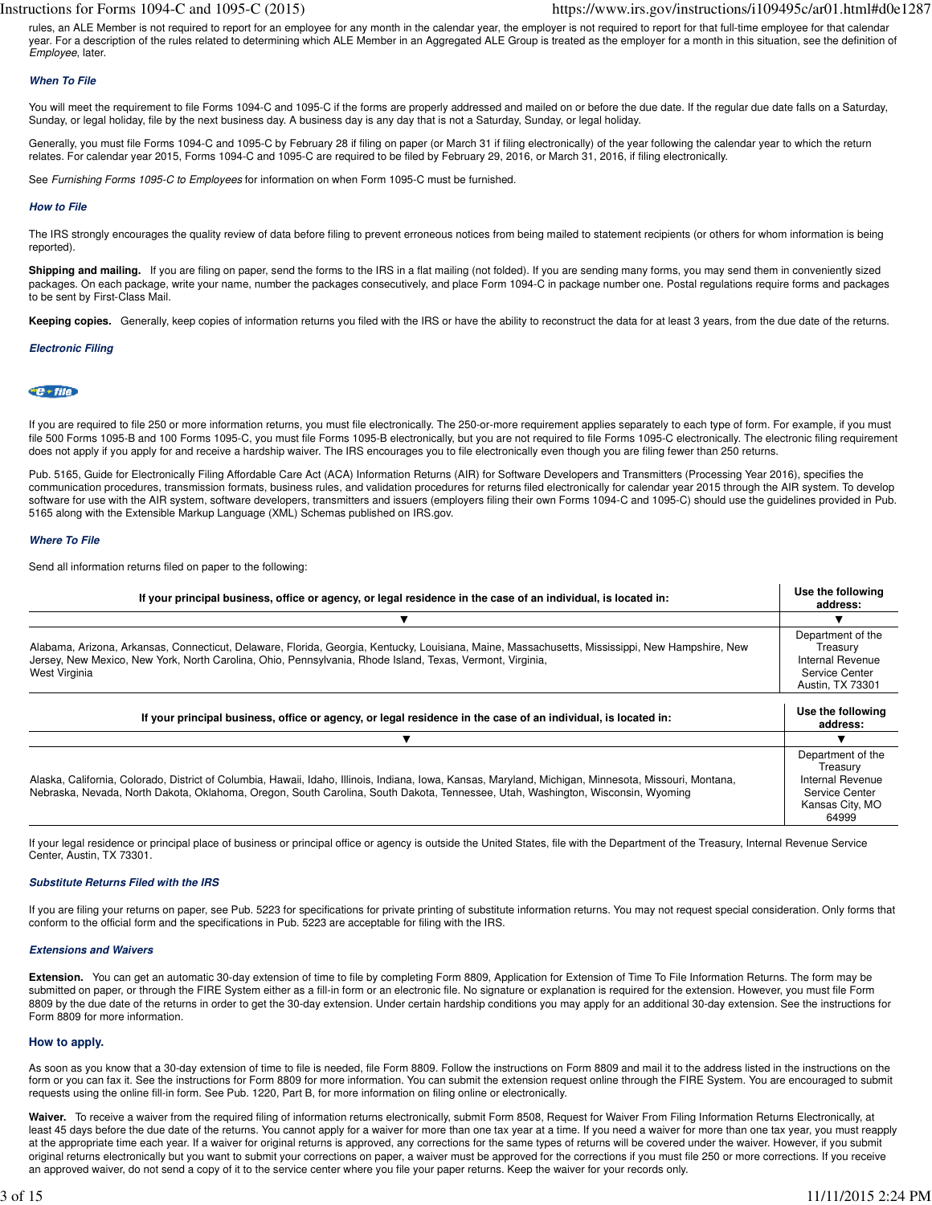rules, an ALE Member is not required to report for an employee for any month in the calendar year, the employer is not required to report for that full-time employee for that calendar year. For a description of the rules related to determining which ALE Member in an Aggregated ALE Group is treated as the employer for a month in this situation, see the definition of Employee, later.

#### **When To File**

You will meet the requirement to file Forms 1094-C and 1095-C if the forms are properly addressed and mailed on or before the due date. If the regular due date falls on a Saturday, Sunday, or legal holiday, file by the next business day. A business day is any day that is not a Saturday, Sunday, or legal holiday.

Generally, you must file Forms 1094-C and 1095-C by February 28 if filing on paper (or March 31 if filing electronically) of the year following the calendar year to which the return relates. For calendar year 2015, Forms 1094-C and 1095-C are required to be filed by February 29, 2016, or March 31, 2016, if filing electronically.

See Furnishing Forms 1095-C to Employees for information on when Form 1095-C must be furnished.

#### **How to File**

The IRS strongly encourages the quality review of data before filing to prevent erroneous notices from being mailed to statement recipients (or others for whom information is being reported).

**Shipping and mailing.** If you are filing on paper, send the forms to the IRS in a flat mailing (not folded). If you are sending many forms, you may send them in conveniently sized packages. On each package, write your name, number the packages consecutively, and place Form 1094-C in package number one. Postal regulations require forms and packages to be sent by First-Class Mail.

Keeping copies. Generally, keep copies of information returns you filed with the IRS or have the ability to reconstruct the data for at least 3 years, from the due date of the returns.

#### **Electronic Filing**

# $e + f$ ile

If you are required to file 250 or more information returns, you must file electronically. The 250-or-more requirement applies separately to each type of form. For example, if you must file 500 Forms 1095-B and 100 Forms 1095-C, you must file Forms 1095-B electronically, but you are not required to file Forms 1095-C electronically. The electronic filing requirement does not apply if you apply for and receive a hardship waiver. The IRS encourages you to file electronically even though you are filing fewer than 250 returns.

Pub. 5165, Guide for Electronically Filing Affordable Care Act (ACA) Information Returns (AIR) for Software Developers and Transmitters (Processing Year 2016), specifies the communication procedures, transmission formats, business rules, and validation procedures for returns filed electronically for calendar year 2015 through the AIR system. To develop software for use with the AIR system, software developers, transmitters and issuers (employers filing their own Forms 1094-C and 1095-C) should use the guidelines provided in Pub. 5165 along with the Extensible Markup Language (XML) Schemas published on IRS.gov.

#### **Where To File**

Send all information returns filed on paper to the following:

| If your principal business, office or agency, or legal residence in the case of an individual, is located in:                                                                                                                                                                            |                                                                                                 |
|------------------------------------------------------------------------------------------------------------------------------------------------------------------------------------------------------------------------------------------------------------------------------------------|-------------------------------------------------------------------------------------------------|
|                                                                                                                                                                                                                                                                                          |                                                                                                 |
| Alabama, Arizona, Arkansas, Connecticut, Delaware, Florida, Georgia, Kentucky, Louisiana, Maine, Massachusetts, Mississippi, New Hampshire, New<br>Jersey, New Mexico, New York, North Carolina, Ohio, Pennsylvania, Rhode Island, Texas, Vermont, Virginia,<br>West Virginia            | Department of the<br>Treasury<br>Internal Revenue<br>Service Center<br>Austin, TX 73301         |
| If your principal business, office or agency, or legal residence in the case of an individual, is located in:                                                                                                                                                                            | Use the following<br>address:                                                                   |
|                                                                                                                                                                                                                                                                                          |                                                                                                 |
| Alaska, California, Colorado, District of Columbia, Hawaii, Idaho, Illinois, Indiana, Iowa, Kansas, Maryland, Michigan, Minnesota, Missouri, Montana,<br>Nebraska, Nevada, North Dakota, Oklahoma, Oregon, South Carolina, South Dakota, Tennessee, Utah, Washington, Wisconsin, Wyoming | Department of the<br>Treasury<br>Internal Revenue<br>Service Center<br>Kansas City, MO<br>64999 |

If your legal residence or principal place of business or principal office or agency is outside the United States, file with the Department of the Treasury, Internal Revenue Service Center, Austin, TX 73301.

#### **Substitute Returns Filed with the IRS**

If you are filing your returns on paper, see Pub. 5223 for specifications for private printing of substitute information returns. You may not request special consideration. Only forms that conform to the official form and the specifications in Pub. 5223 are acceptable for filing with the IRS.

#### **Extensions and Waivers**

**Extension.** You can get an automatic 30-day extension of time to file by completing Form 8809, Application for Extension of Time To File Information Returns. The form may be submitted on paper, or through the FIRE System either as a fill-in form or an electronic file. No signature or explanation is required for the extension. However, you must file Form 8809 by the due date of the returns in order to get the 30-day extension. Under certain hardship conditions you may apply for an additional 30-day extension. See the instructions for Form 8809 for more information.

### **How to apply.**

As soon as you know that a 30-day extension of time to file is needed, file Form 8809. Follow the instructions on Form 8809 and mail it to the address listed in the instructions on the form or you can fax it. See the instructions for Form 8809 for more information. You can submit the extension request online through the FIRE System. You are encouraged to submit requests using the online fill-in form. See Pub. 1220, Part B, for more information on filing online or electronically.

Waiver. To receive a waiver from the required filing of information returns electronically, submit Form 8508, Request for Waiver From Filing Information Returns Electronically, at least 45 days before the due date of the returns. You cannot apply for a waiver for more than one tax year at a time. If you need a waiver for more than one tax year, you must reapply at the appropriate time each year. If a waiver for original returns is approved, any corrections for the same types of returns will be covered under the waiver. However, if you submit original returns electronically but you want to submit your corrections on paper, a waiver must be approved for the corrections if you must file 250 or more corrections. If you receive an approved waiver, do not send a copy of it to the service center where you file your paper returns. Keep the waiver for your records only.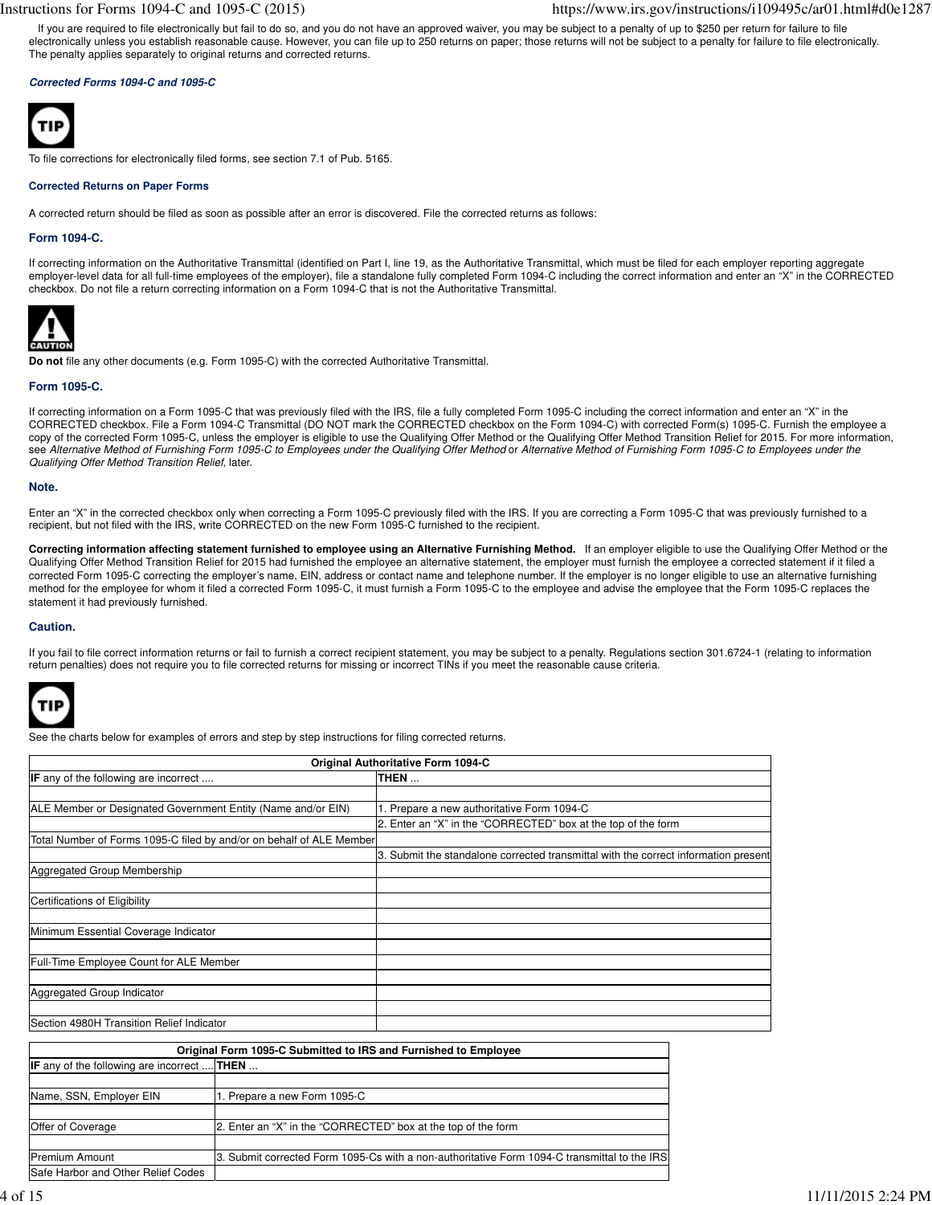If you are required to file electronically but fail to do so, and you do not have an approved waiver, you may be subject to a penalty of up to \$250 per return for failure to file electronically unless you establish reasonable cause. However, you can file up to 250 returns on paper; those returns will not be subject to a penalty for failure to file electronically. The penalty applies separately to original returns and corrected returns.

# **Corrected Forms 1094-C and 1095-C**



To file corrections for electronically filed forms, see section 7.1 of Pub. 5165.

#### **Corrected Returns on Paper Forms**

A corrected return should be filed as soon as possible after an error is discovered. File the corrected returns as follows:

## **Form 1094-C.**

If correcting information on the Authoritative Transmittal (identified on Part I, line 19, as the Authoritative Transmittal, which must be filed for each employer reporting aggregate employer-level data for all full-time employees of the employer), file a standalone fully completed Form 1094-C including the correct information and enter an "X" in the CORRECTED checkbox. Do not file a return correcting information on a Form 1094-C that is not the Authoritative Transmittal.



**Do not** file any other documents (e.g. Form 1095-C) with the corrected Authoritative Transmittal.

# **Form 1095-C.**

If correcting information on a Form 1095-C that was previously filed with the IRS, file a fully completed Form 1095-C including the correct information and enter an "X" in the CORRECTED checkbox. File a Form 1094-C Transmittal (DO NOT mark the CORRECTED checkbox on the Form 1094-C) with corrected Form(s) 1095-C. Furnish the employee a copy of the corrected Form 1095-C, unless the employer is eligible to use the Qualifying Offer Method or the Qualifying Offer Method Transition Relief for 2015. For more information, see Alternative Method of Furnishing Form 1095-C to Employees under the Qualifying Offer Method or Alternative Method of Furnishing Form 1095-C to Employees under the Qualifying Offer Method Transition Relief, later.

### **Note.**

Enter an "X" in the corrected checkbox only when correcting a Form 1095-C previously filed with the IRS. If you are correcting a Form 1095-C that was previously furnished to a recipient, but not filed with the IRS, write CORRECTED on the new Form 1095-C furnished to the recipient.

**Correcting information affecting statement furnished to employee using an Alternative Furnishing Method.** If an employer eligible to use the Qualifying Offer Method or the Qualifying Offer Method Transition Relief for 2015 had furnished the employee an alternative statement, the employer must furnish the employee a corrected statement if it filed a corrected Form 1095-C correcting the employer's name, EIN, address or contact name and telephone number. If the employer is no longer eligible to use an alternative furnishing method for the employee for whom it filed a corrected Form 1095-C, it must furnish a Form 1095-C to the employee and advise the employee that the Form 1095-C replaces the statement it had previously furnished.

### **Caution.**

If you fail to file correct information returns or fail to furnish a correct recipient statement, you may be subject to a penalty. Regulations section 301.6724-1 (relating to information return penalties) does not require you to file corrected returns for missing or incorrect TINs if you meet the reasonable cause criteria.



See the charts below for examples of errors and step by step instructions for filing corrected returns.

| Original Authoritative Form 1094-C                                   |                                                                                     |  |
|----------------------------------------------------------------------|-------------------------------------------------------------------------------------|--|
| <b>IF</b> any of the following are incorrect                         | THEN                                                                                |  |
|                                                                      |                                                                                     |  |
| ALE Member or Designated Government Entity (Name and/or EIN)         | 1. Prepare a new authoritative Form 1094-C                                          |  |
|                                                                      | 2. Enter an "X" in the "CORRECTED" box at the top of the form                       |  |
| Total Number of Forms 1095-C filed by and/or on behalf of ALE Member |                                                                                     |  |
|                                                                      | 3. Submit the standalone corrected transmittal with the correct information present |  |
| Aggregated Group Membership                                          |                                                                                     |  |
|                                                                      |                                                                                     |  |
| Certifications of Eligibility                                        |                                                                                     |  |
|                                                                      |                                                                                     |  |
| Minimum Essential Coverage Indicator                                 |                                                                                     |  |
|                                                                      |                                                                                     |  |
| Full-Time Employee Count for ALE Member                              |                                                                                     |  |
|                                                                      |                                                                                     |  |
| Aggregated Group Indicator                                           |                                                                                     |  |
|                                                                      |                                                                                     |  |
| Section 4980H Transition Relief Indicator                            |                                                                                     |  |

| Original Form 1095-C Submitted to IRS and Furnished to Employee |                                                                                              |  |
|-----------------------------------------------------------------|----------------------------------------------------------------------------------------------|--|
| <b>IF</b> any of the following are incorrect <b>THEN</b>        |                                                                                              |  |
|                                                                 |                                                                                              |  |
| Name, SSN, Employer EIN                                         | 1. Prepare a new Form 1095-C                                                                 |  |
|                                                                 |                                                                                              |  |
| Offer of Coverage                                               | 2. Enter an "X" in the "CORRECTED" box at the top of the form                                |  |
|                                                                 |                                                                                              |  |
| <b>Premium Amount</b>                                           | 3. Submit corrected Form 1095-Cs with a non-authoritative Form 1094-C transmittal to the IRS |  |
| Safe Harbor and Other Relief Codes                              |                                                                                              |  |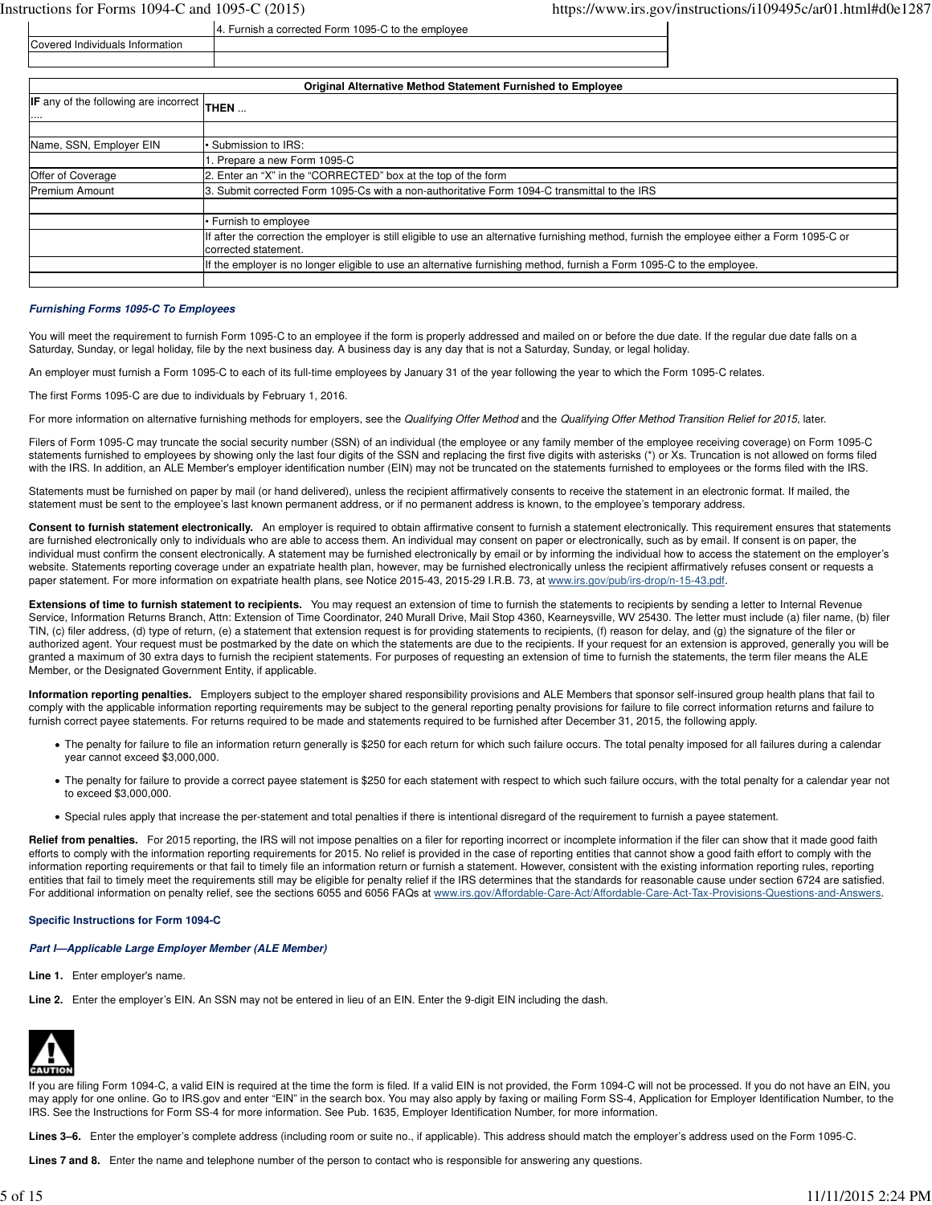Covered Individuals Information

| <b>Original Alternative Method Statement Furnished to Employee</b> |                                                                                                                                                                      |  |
|--------------------------------------------------------------------|----------------------------------------------------------------------------------------------------------------------------------------------------------------------|--|
| IF any of the following are incorrect THEN<br>                     |                                                                                                                                                                      |  |
|                                                                    |                                                                                                                                                                      |  |
| Name, SSN, Employer EIN                                            | · Submission to IRS:                                                                                                                                                 |  |
|                                                                    | . Prepare a new Form 1095-C                                                                                                                                          |  |
| Offer of Coverage                                                  | 2. Enter an "X" in the "CORRECTED" box at the top of the form                                                                                                        |  |
| <b>Premium Amount</b>                                              | 13. Submit corrected Form 1095-Cs with a non-authoritative Form 1094-C transmittal to the IRS                                                                        |  |
|                                                                    |                                                                                                                                                                      |  |
|                                                                    | • Furnish to employee                                                                                                                                                |  |
|                                                                    | If after the correction the employer is still eligible to use an alternative furnishing method, furnish the employee either a Form 1095-C or<br>corrected statement. |  |
|                                                                    | If the employer is no longer eligible to use an alternative furnishing method, furnish a Form 1095-C to the employee.                                                |  |
|                                                                    |                                                                                                                                                                      |  |

## **Furnishing Forms 1095-C To Employees**

You will meet the requirement to furnish Form 1095-C to an employee if the form is properly addressed and mailed on or before the due date. If the regular due date falls on a Saturday, Sunday, or legal holiday, file by the next business day. A business day is any day that is not a Saturday, Sunday, or legal holiday.

An employer must furnish a Form 1095-C to each of its full-time employees by January 31 of the year following the year to which the Form 1095-C relates.

4. Furnish a corrected Form 1095-C to the employee

The first Forms 1095-C are due to individuals by February 1, 2016.

For more information on alternative furnishing methods for employers, see the Qualifying Offer Method and the Qualifying Offer Method Transition Relief for 2015, later.

Filers of Form 1095-C may truncate the social security number (SSN) of an individual (the employee or any family member of the employee receiving coverage) on Form 1095-C statements furnished to employees by showing only the last four digits of the SSN and replacing the first five digits with asterisks (\*) or Xs. Truncation is not allowed on forms filed with the IRS. In addition, an ALE Member's employer identification number (EIN) may not be truncated on the statements furnished to employees or the forms filed with the IRS.

Statements must be furnished on paper by mail (or hand delivered), unless the recipient affirmatively consents to receive the statement in an electronic format. If mailed, the statement must be sent to the employee's last known permanent address, or if no permanent address is known, to the employee's temporary address.

Consent to furnish statement electronically. An employer is required to obtain affirmative consent to furnish a statement electronically. This requirement ensures that statements are furnished electronically only to individuals who are able to access them. An individual may consent on paper or electronically, such as by email. If consent is on paper, the individual must confirm the consent electronically. A statement may be furnished electronically by email or by informing the individual how to access the statement on the employer's website. Statements reporting coverage under an expatriate health plan, however, may be furnished electronically unless the recipient affirmatively refuses consent or requests a paper statement. For more information on expatriate health plans, see Notice 2015-43, 2015-29 I.R.B. 73, at www.irs.gov/pub/irs-drop/n-15-43.pdf.

**Extensions of time to furnish statement to recipients.** You may request an extension of time to furnish the statements to recipients by sending a letter to Internal Revenue Service, Information Returns Branch, Attn: Extension of Time Coordinator, 240 Murall Drive, Mail Stop 4360, Kearneysville, WV 25430. The letter must include (a) filer name, (b) filer TIN, (c) filer address, (d) type of return, (e) a statement that extension request is for providing statements to recipients, (f) reason for delay, and (g) the signature of the filer or authorized agent. Your request must be postmarked by the date on which the statements are due to the recipients. If your request for an extension is approved, generally you will be granted a maximum of 30 extra days to furnish the recipient statements. For purposes of requesting an extension of time to furnish the statements, the term filer means the ALE Member, or the Designated Government Entity, if applicable.

**Information reporting penalties.** Employers subject to the employer shared responsibility provisions and ALE Members that sponsor self-insured group health plans that fail to comply with the applicable information reporting requirements may be subject to the general reporting penalty provisions for failure to file correct information returns and failure to furnish correct payee statements. For returns required to be made and statements required to be furnished after December 31, 2015, the following apply.

- The penalty for failure to file an information return generally is \$250 for each return for which such failure occurs. The total penalty imposed for all failures during a calendar year cannot exceed \$3,000,000.
- The penalty for failure to provide a correct payee statement is \$250 for each statement with respect to which such failure occurs, with the total penalty for a calendar year not to exceed \$3,000,000.
- Special rules apply that increase the per-statement and total penalties if there is intentional disregard of the requirement to furnish a payee statement.

Relief from penalties. For 2015 reporting, the IRS will not impose penalties on a filer for reporting incorrect or incomplete information if the filer can show that it made good faith efforts to comply with the information reporting requirements for 2015. No relief is provided in the case of reporting entities that cannot show a good faith effort to comply with the information reporting requirements or that fail to timely file an information return or furnish a statement. However, consistent with the existing information reporting rules, reporting entities that fail to timely meet the requirements still may be eligible for penalty relief if the IRS determines that the standards for reasonable cause under section 6724 are satisfied. For additional information on penalty relief, see the sections 6055 and 6056 FAQs at www.irs.gov/Affordable-Care-Act/Affordable-Care-Act-Tax-Provisions-Questions-and-Answers.

# **Specific Instructions for Form 1094-C**

### **Part I—Applicable Large Employer Member (ALE Member)**

- **Line 1.** Enter employer's name.
- **Line 2.** Enter the employer's EIN. An SSN may not be entered in lieu of an EIN. Enter the 9-digit EIN including the dash.



If you are filing Form 1094-C, a valid EIN is required at the time the form is filed. If a valid EIN is not provided, the Form 1094-C will not be processed. If you do not have an EIN, you may apply for one online. Go to IRS.gov and enter "EIN" in the search box. You may also apply by faxing or mailing Form SS-4, Application for Employer Identification Number, to the IRS. See the Instructions for Form SS-4 for more information. See Pub. 1635, Employer Identification Number, for more information.

**Lines 3–6.** Enter the employer's complete address (including room or suite no., if applicable). This address should match the employer's address used on the Form 1095-C.

**Lines 7 and 8.** Enter the name and telephone number of the person to contact who is responsible for answering any questions.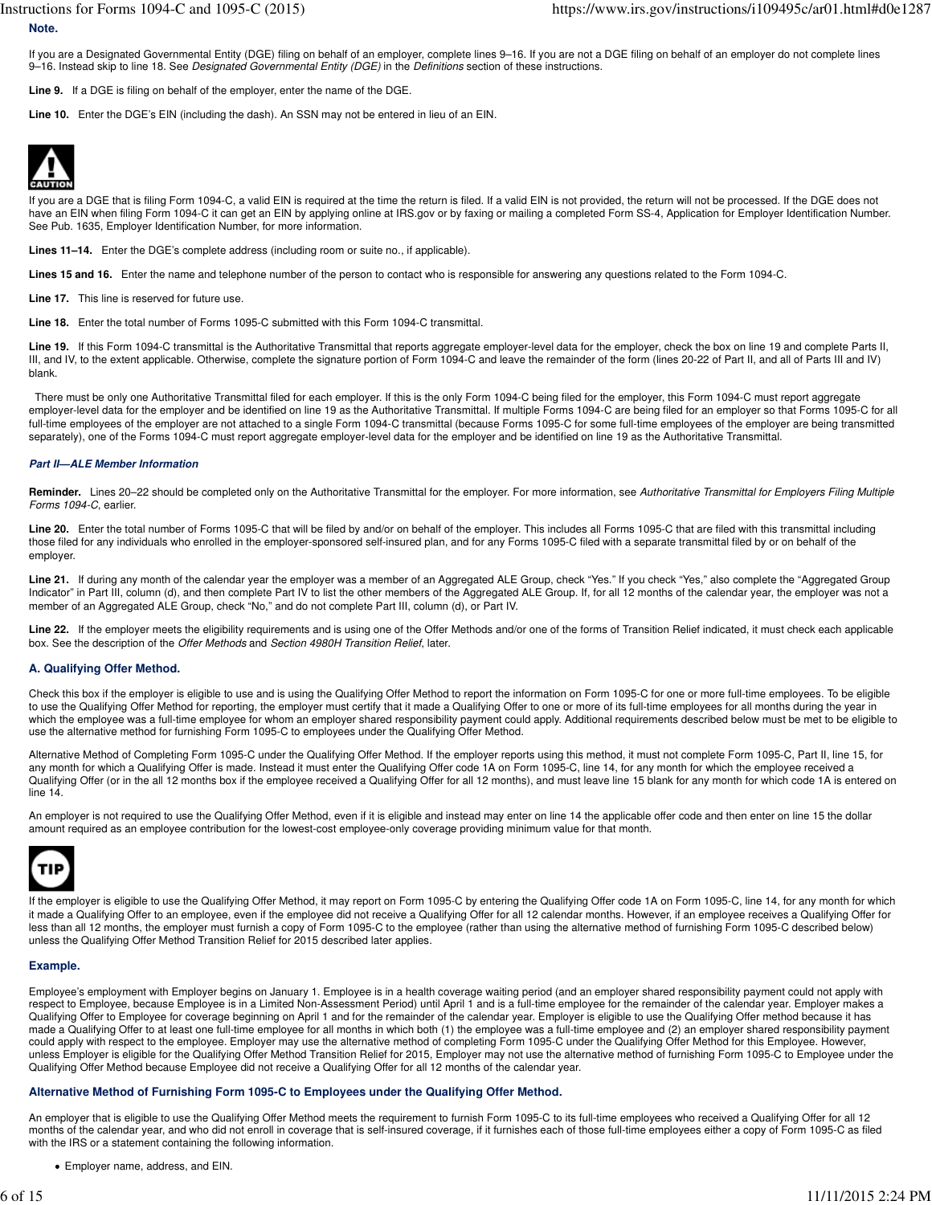If you are a Designated Governmental Entity (DGE) filing on behalf of an employer, complete lines 9–16. If you are not a DGE filing on behalf of an employer do not complete lines 9-16. Instead skip to line 18. See Designated Governmental Entity (DGE) in the Definitions section of these instructions.

**Line 9.** If a DGE is filing on behalf of the employer, enter the name of the DGE.

**Line 10.** Enter the DGE's EIN (including the dash). An SSN may not be entered in lieu of an EIN.



**Note.**

If you are a DGE that is filing Form 1094-C, a valid EIN is required at the time the return is filed. If a valid EIN is not provided, the return will not be processed. If the DGE does not have an EIN when filing Form 1094-C it can get an EIN by applying online at IRS.gov or by faxing or mailing a completed Form SS-4, Application for Employer Identification Number. See Pub. 1635, Employer Identification Number, for more information.

**Lines 11–14.** Enter the DGE's complete address (including room or suite no., if applicable).

Lines 15 and 16. Enter the name and telephone number of the person to contact who is responsible for answering any questions related to the Form 1094-C.

**Line 17.** This line is reserved for future use.

**Line 18.** Enter the total number of Forms 1095-C submitted with this Form 1094-C transmittal.

Line 19. If this Form 1094-C transmittal is the Authoritative Transmittal that reports aggregate employer-level data for the employer, check the box on line 19 and complete Parts II, III, and IV, to the extent applicable. Otherwise, complete the signature portion of Form 1094-C and leave the remainder of the form (lines 20-22 of Part II, and all of Parts III and IV) blank.

 There must be only one Authoritative Transmittal filed for each employer. If this is the only Form 1094-C being filed for the employer, this Form 1094-C must report aggregate employer-level data for the employer and be identified on line 19 as the Authoritative Transmittal. If multiple Forms 1094-C are being filed for an employer so that Forms 1095-C for all full-time employees of the employer are not attached to a single Form 1094-C transmittal (because Forms 1095-C for some full-time employees of the employer are being transmitted separately), one of the Forms 1094-C must report aggregate employer-level data for the employer and be identified on line 19 as the Authoritative Transmittal.

#### **Part II—ALE Member Information**

Reminder. Lines 20-22 should be completed only on the Authoritative Transmittal for the employer. For more information, see Authoritative Transmittal for Employers Filing Multiple Forms 1094-C, earlier.

Line 20. Enter the total number of Forms 1095-C that will be filed by and/or on behalf of the employer. This includes all Forms 1095-C that are filed with this transmittal including those filed for any individuals who enrolled in the employer-sponsored self-insured plan, and for any Forms 1095-C filed with a separate transmittal filed by or on behalf of the employer.

Line 21. If during any month of the calendar year the employer was a member of an Aggregated ALE Group, check "Yes." If you check "Yes," also complete the "Aggregated Group Indicator" in Part III, column (d), and then complete Part IV to list the other members of the Aggregated ALE Group. If, for all 12 months of the calendar year, the employer was not a member of an Aggregated ALE Group, check "No," and do not complete Part III, column (d), or Part IV.

Line 22. If the employer meets the eligibility requirements and is using one of the Offer Methods and/or one of the forms of Transition Relief indicated, it must check each applicable box. See the description of the Offer Methods and Section 4980H Transition Relief, later.

# **A. Qualifying Offer Method.**

Check this box if the employer is eligible to use and is using the Qualifying Offer Method to report the information on Form 1095-C for one or more full-time employees. To be eligible to use the Qualifying Offer Method for reporting, the employer must certify that it made a Qualifying Offer to one or more of its full-time employees for all months during the year in which the employee was a full-time employee for whom an employer shared responsibility payment could apply. Additional requirements described below must be met to be eligible to use the alternative method for furnishing Form 1095-C to employees under the Qualifying Offer Method.

Alternative Method of Completing Form 1095-C under the Qualifying Offer Method. If the employer reports using this method, it must not complete Form 1095-C, Part II, line 15, for any month for which a Qualifying Offer is made. Instead it must enter the Qualifying Offer code 1A on Form 1095-C, line 14, for any month for which the employee received a Qualifying Offer (or in the all 12 months box if the employee received a Qualifying Offer for all 12 months), and must leave line 15 blank for any month for which code 1A is entered on line 14.

An employer is not required to use the Qualifying Offer Method, even if it is eligible and instead may enter on line 14 the applicable offer code and then enter on line 15 the dollar amount required as an employee contribution for the lowest-cost employee-only coverage providing minimum value for that month.



If the employer is eligible to use the Qualifying Offer Method, it may report on Form 1095-C by entering the Qualifying Offer code 1A on Form 1095-C, line 14, for any month for which it made a Qualifying Offer to an employee, even if the employee did not receive a Qualifying Offer for all 12 calendar months. However, if an employee receives a Qualifying Offer for less than all 12 months, the employer must furnish a copy of Form 1095-C to the employee (rather than using the alternative method of furnishing Form 1095-C described below) unless the Qualifying Offer Method Transition Relief for 2015 described later applies.

#### **Example.**

Employee's employment with Employer begins on January 1. Employee is in a health coverage waiting period (and an employer shared responsibility payment could not apply with respect to Employee, because Employee is in a Limited Non-Assessment Period) until April 1 and is a full-time employee for the remainder of the calendar year. Employer makes a Qualifying Offer to Employee for coverage beginning on April 1 and for the remainder of the calendar year. Employer is eligible to use the Qualifying Offer method because it has made a Qualifying Offer to at least one full-time employee for all months in which both (1) the employee was a full-time employee and (2) an employer shared responsibility payment could apply with respect to the employee. Employer may use the alternative method of completing Form 1095-C under the Qualifying Offer Method for this Employee. However, unless Employer is eligible for the Qualifying Offer Method Transition Relief for 2015, Employer may not use the alternative method of furnishing Form 1095-C to Employee under the Qualifying Offer Method because Employee did not receive a Qualifying Offer for all 12 months of the calendar year.

#### **Alternative Method of Furnishing Form 1095-C to Employees under the Qualifying Offer Method.**

An employer that is eligible to use the Qualifying Offer Method meets the requirement to furnish Form 1095-C to its full-time employees who received a Qualifying Offer for all 12 months of the calendar year, and who did not enroll in coverage that is self-insured coverage, if it furnishes each of those full-time employees either a copy of Form 1095-C as filed with the IRS or a statement containing the following information.

Employer name, address, and EIN.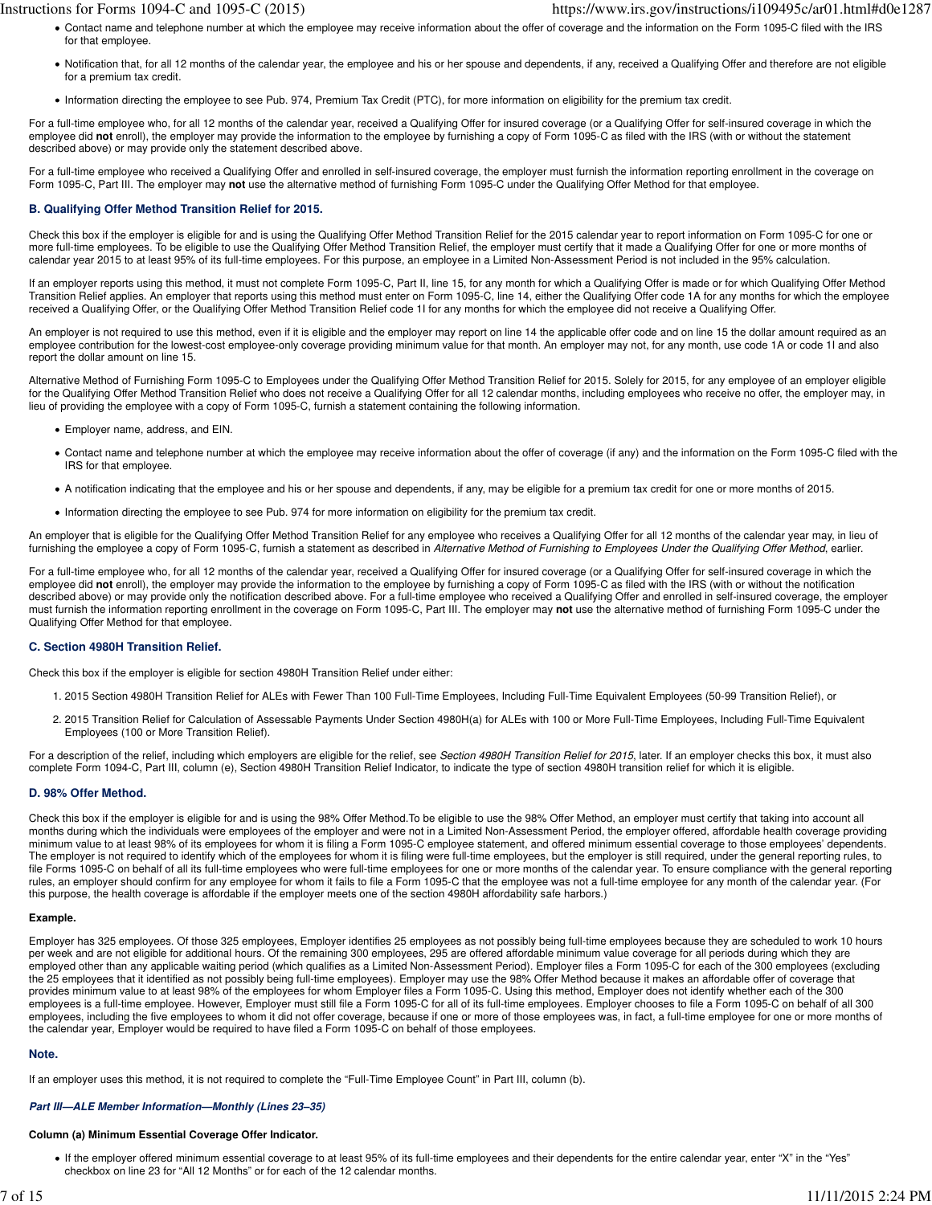- Contact name and telephone number at which the employee may receive information about the offer of coverage and the information on the Form 1095-C filed with the IRS for that employee.
- Notification that, for all 12 months of the calendar year, the employee and his or her spouse and dependents, if any, received a Qualifying Offer and therefore are not eligible for a premium tax credit.
- Information directing the employee to see Pub. 974, Premium Tax Credit (PTC), for more information on eligibility for the premium tax credit.

For a full-time employee who, for all 12 months of the calendar year, received a Qualifying Offer for insured coverage (or a Qualifying Offer for self-insured coverage in which the employee did **not** enroll), the employer may provide the information to the employee by furnishing a copy of Form 1095-C as filed with the IRS (with or without the statement described above) or may provide only the statement described above.

For a full-time employee who received a Qualifying Offer and enrolled in self-insured coverage, the employer must furnish the information reporting enrollment in the coverage on Form 1095-C, Part III. The employer may **not** use the alternative method of furnishing Form 1095-C under the Qualifying Offer Method for that employee.

# **B. Qualifying Offer Method Transition Relief for 2015.**

Check this box if the employer is eligible for and is using the Qualifying Offer Method Transition Relief for the 2015 calendar year to report information on Form 1095-C for one or more full-time employees. To be eligible to use the Qualifying Offer Method Transition Relief, the employer must certify that it made a Qualifying Offer for one or more months of calendar year 2015 to at least 95% of its full-time employees. For this purpose, an employee in a Limited Non-Assessment Period is not included in the 95% calculation.

If an employer reports using this method, it must not complete Form 1095-C, Part II, line 15, for any month for which a Qualifying Offer is made or for which Qualifying Offer Method Transition Relief applies. An employer that reports using this method must enter on Form 1095-C, line 14, either the Qualifying Offer code 1A for any months for which the employee received a Qualifying Offer, or the Qualifying Offer Method Transition Relief code 1I for any months for which the employee did not receive a Qualifying Offer.

An employer is not required to use this method, even if it is eligible and the employer may report on line 14 the applicable offer code and on line 15 the dollar amount required as an employee contribution for the lowest-cost employee-only coverage providing minimum value for that month. An employer may not, for any month, use code 1A or code 1I and also report the dollar amount on line 15.

Alternative Method of Furnishing Form 1095-C to Employees under the Qualifying Offer Method Transition Relief for 2015. Solely for 2015, for any employee of an employer eligible for the Qualifying Offer Method Transition Relief who does not receive a Qualifying Offer for all 12 calendar months, including employees who receive no offer, the employer may, in lieu of providing the employee with a copy of Form 1095-C, furnish a statement containing the following information.

- Employer name, address, and EIN.
- Contact name and telephone number at which the employee may receive information about the offer of coverage (if any) and the information on the Form 1095-C filed with the IRS for that employee.
- A notification indicating that the employee and his or her spouse and dependents, if any, may be eligible for a premium tax credit for one or more months of 2015.
- Information directing the employee to see Pub. 974 for more information on eligibility for the premium tax credit.

An employer that is eligible for the Qualifying Offer Method Transition Relief for any employee who receives a Qualifying Offer for all 12 months of the calendar year may, in lieu of furnishing the employee a copy of Form 1095-C, furnish a statement as described in Alternative Method of Furnishing to Employees Under the Qualifying Offer Method, earlier.

For a full-time employee who, for all 12 months of the calendar year, received a Qualifying Offer for insured coverage (or a Qualifying Offer for self-insured coverage in which the employee did **not** enroll), the employer may provide the information to the employee by furnishing a copy of Form 1095-C as filed with the IRS (with or without the notification described above) or may provide only the notification described above. For a full-time employee who received a Qualifying Offer and enrolled in self-insured coverage, the employer must furnish the information reporting enrollment in the coverage on Form 1095-C, Part III. The employer may **not** use the alternative method of furnishing Form 1095-C under the Qualifying Offer Method for that employee.

# **C. Section 4980H Transition Relief.**

Check this box if the employer is eligible for section 4980H Transition Relief under either:

- 1. 2015 Section 4980H Transition Relief for ALEs with Fewer Than 100 Full-Time Employees, Including Full-Time Equivalent Employees (50-99 Transition Relief), or
- 2. 2015 Transition Relief for Calculation of Assessable Payments Under Section 4980H(a) for ALEs with 100 or More Full-Time Employees, Including Full-Time Equivalent Employees (100 or More Transition Relief).

For a description of the relief, including which employers are eligible for the relief, see Section 4980H Transition Relief for 2015, later. If an employer checks this box, it must also complete Form 1094-C, Part III, column (e), Section 4980H Transition Relief Indicator, to indicate the type of section 4980H transition relief for which it is eligible.

# **D. 98% Offer Method.**

Check this box if the employer is eligible for and is using the 98% Offer Method.To be eligible to use the 98% Offer Method, an employer must certify that taking into account all months during which the individuals were employees of the employer and were not in a Limited Non-Assessment Period, the employer offered, affordable health coverage providing minimum value to at least 98% of its employees for whom it is filing a Form 1095-C employee statement, and offered minimum essential coverage to those employees' dependents. The employer is not required to identify which of the employees for whom it is filing were full-time employees, but the employer is still required, under the general reporting rules, to file Forms 1095-C on behalf of all its full-time employees who were full-time employees for one or more months of the calendar year. To ensure compliance with the general reporting rules, an employer should confirm for any employee for whom it fails to file a Form 1095-C that the employee was not a full-time employee for any month of the calendar year. (For this purpose, the health coverage is affordable if the employer meets one of the section 4980H affordability safe harbors.)

#### **Example.**

Employer has 325 employees. Of those 325 employees, Employer identifies 25 employees as not possibly being full-time employees because they are scheduled to work 10 hours per week and are not eligible for additional hours. Of the remaining 300 employees, 295 are offered affordable minimum value coverage for all periods during which they are employed other than any applicable waiting period (which qualifies as a Limited Non-Assessment Period). Employer files a Form 1095-C for each of the 300 employees (excluding the 25 employees that it identified as not possibly being full-time employees). Employer may use the 98% Offer Method because it makes an affordable offer of coverage that provides minimum value to at least 98% of the employees for whom Employer files a Form 1095-C. Using this method, Employer does not identify whether each of the 300 employees is a full-time employee. However, Employer must still file a Form 1095-C for all of its full-time employees. Employer chooses to file a Form 1095-C on behalf of all 300 employees, including the five employees to whom it did not offer coverage, because if one or more of those employees was, in fact, a full-time employee for one or more months of the calendar year, Employer would be required to have filed a Form 1095-C on behalf of those employees.

# **Note.**

If an employer uses this method, it is not required to complete the "Full-Time Employee Count" in Part III, column (b).

#### **Part III—ALE Member Information—Monthly (Lines 23–35)**

#### **Column (a) Minimum Essential Coverage Offer Indicator.**

If the employer offered minimum essential coverage to at least 95% of its full-time employees and their dependents for the entire calendar year, enter "X" in the "Yes" checkbox on line 23 for "All 12 Months" or for each of the 12 calendar months.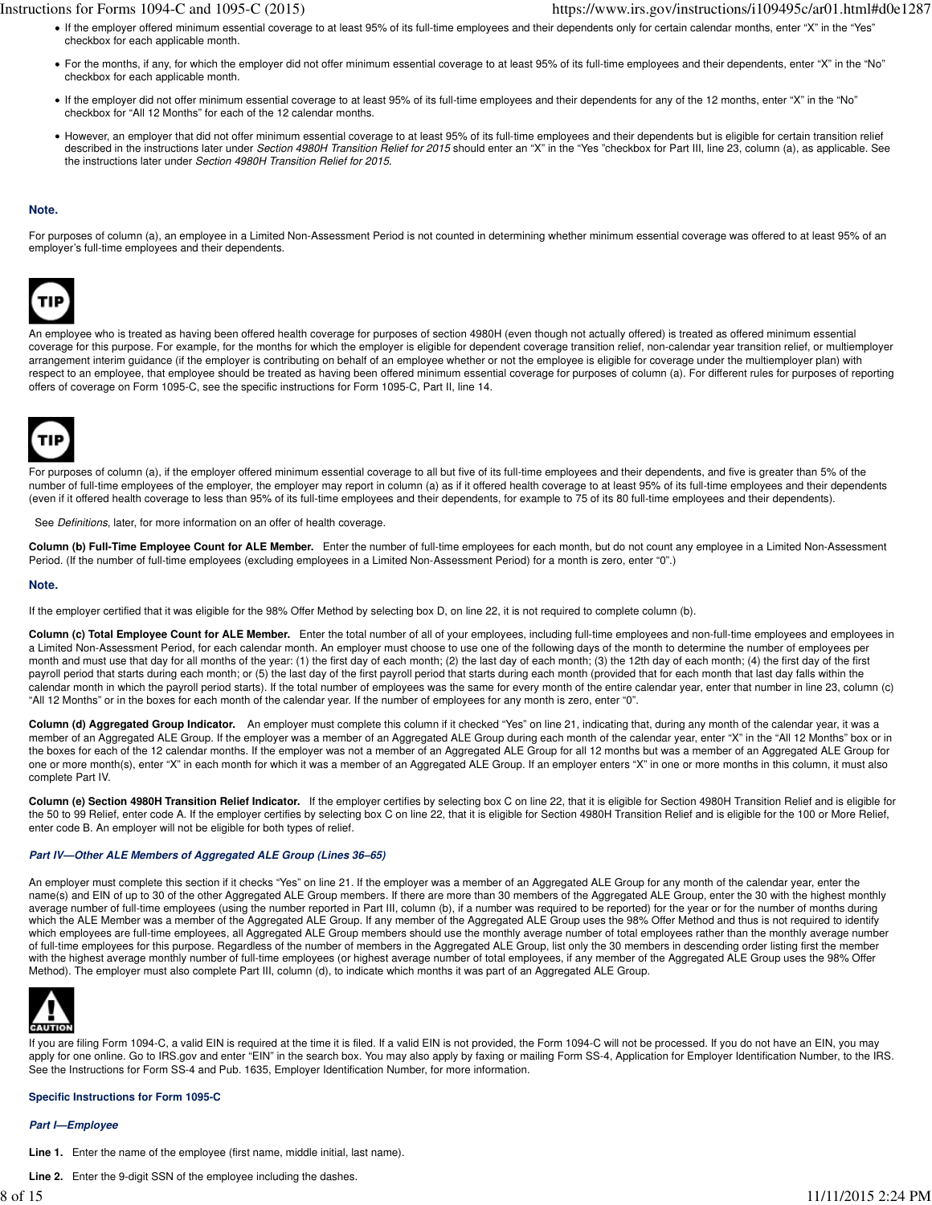- If the employer offered minimum essential coverage to at least 95% of its full-time employees and their dependents only for certain calendar months, enter "X" in the "Yes" checkbox for each applicable month.
- For the months, if any, for which the employer did not offer minimum essential coverage to at least 95% of its full-time employees and their dependents, enter "X" in the "No" checkbox for each applicable month.
- If the employer did not offer minimum essential coverage to at least 95% of its full-time employees and their dependents for any of the 12 months, enter "X" in the "No" checkbox for "All 12 Months" for each of the 12 calendar months.
- However, an employer that did not offer minimum essential coverage to at least 95% of its full-time employees and their dependents but is eligible for certain transition relief described in the instructions later under Section 4980H Transition Relief for 2015 should enter an "X" in the "Yes "checkbox for Part III, line 23, column (a), as applicable. See the instructions later under Section 4980H Transition Relief for 2015.

# **Note.**

For purposes of column (a), an employee in a Limited Non-Assessment Period is not counted in determining whether minimum essential coverage was offered to at least 95% of an employer's full-time employees and their dependents.



An employee who is treated as having been offered health coverage for purposes of section 4980H (even though not actually offered) is treated as offered minimum essential coverage for this purpose. For example, for the months for which the employer is eligible for dependent coverage transition relief, non-calendar year transition relief, or multiemployer arrangement interim guidance (if the employer is contributing on behalf of an employee whether or not the employee is eligible for coverage under the multiemployer plan) with respect to an employee, that employee should be treated as having been offered minimum essential coverage for purposes of column (a). For different rules for purposes of reporting offers of coverage on Form 1095-C, see the specific instructions for Form 1095-C, Part II, line 14.



For purposes of column (a), if the employer offered minimum essential coverage to all but five of its full-time employees and their dependents, and five is greater than 5% of the number of full-time employees of the employer, the employer may report in column (a) as if it offered health coverage to at least 95% of its full-time employees and their dependents (even if it offered health coverage to less than 95% of its full-time employees and their dependents, for example to 75 of its 80 full-time employees and their dependents).

See Definitions, later, for more information on an offer of health coverage.

**Column (b) Full-Time Employee Count for ALE Member.** Enter the number of full-time employees for each month, but do not count any employee in a Limited Non-Assessment Period. (If the number of full-time employees (excluding employees in a Limited Non-Assessment Period) for a month is zero, enter "0".)

### **Note.**

If the employer certified that it was eligible for the 98% Offer Method by selecting box D, on line 22, it is not required to complete column (b).

**Column (c) Total Employee Count for ALE Member.** Enter the total number of all of your employees, including full-time employees and non-full-time employees and employees in a Limited Non-Assessment Period, for each calendar month. An employer must choose to use one of the following days of the month to determine the number of employees per month and must use that day for all months of the year: (1) the first day of each month; (2) the last day of each month; (3) the 12th day of each month; (4) the first day of the first payroll period that starts during each month; or (5) the last day of the first payroll period that starts during each month (provided that for each month that last day falls within the calendar month in which the payroll period starts). If the total number of employees was the same for every month of the entire calendar year, enter that number in line 23, column (c) "All 12 Months" or in the boxes for each month of the calendar year. If the number of employees for any month is zero, enter "0".

Column (d) Aggregated Group Indicator. An employer must complete this column if it checked "Yes" on line 21, indicating that, during any month of the calendar year, it was a member of an Aggregated ALE Group. If the employer was a member of an Aggregated ALE Group during each month of the calendar year, enter "X" in the "All 12 Months" box or in the boxes for each of the 12 calendar months. If the employer was not a member of an Aggregated ALE Group for all 12 months but was a member of an Aggregated ALE Group for one or more month(s), enter "X" in each month for which it was a member of an Aggregated ALE Group. If an employer enters "X" in one or more months in this column, it must also complete Part IV.

Column (e) Section 4980H Transition Relief Indicator. If the employer certifies by selecting box C on line 22, that it is eligible for Section 4980H Transition Relief and is eligible for the 50 to 99 Relief, enter code A. If the employer certifies by selecting box C on line 22, that it is eligible for Section 4980H Transition Relief and is eligible for the 100 or More Relief, enter code B. An employer will not be eligible for both types of relief.

# **Part IV—Other ALE Members of Aggregated ALE Group (Lines 36–65)**

An employer must complete this section if it checks "Yes" on line 21. If the employer was a member of an Aggregated ALE Group for any month of the calendar year, enter the name(s) and EIN of up to 30 of the other Aggregated ALE Group members. If there are more than 30 members of the Aggregated ALE Group, enter the 30 with the highest monthly average number of full-time employees (using the number reported in Part III, column (b), if a number was required to be reported) for the year or for the number of months during which the ALE Member was a member of the Aggregated ALE Group. If any member of the Aggregated ALE Group uses the 98% Offer Method and thus is not required to identify which employees are full-time employees, all Aggregated ALE Group members should use the monthly average number of total employees rather than the monthly average number of full-time employees for this purpose. Regardless of the number of members in the Aggregated ALE Group, list only the 30 members in descending order listing first the member with the highest average monthly number of full-time employees (or highest average number of total employees, if any member of the Aggregated ALE Group uses the 98% Offer Method). The employer must also complete Part III, column (d), to indicate which months it was part of an Aggregated ALE Group.



If you are filing Form 1094-C, a valid EIN is required at the time it is filed. If a valid EIN is not provided, the Form 1094-C will not be processed. If you do not have an EIN, you may apply for one online. Go to IRS.gov and enter "EIN" in the search box. You may also apply by faxing or mailing Form SS-4, Application for Employer Identification Number, to the IRS. See the Instructions for Form SS-4 and Pub. 1635, Employer Identification Number, for more information.

# **Specific Instructions for Form 1095-C**

#### **Part I—Employee**

- **Line 1.** Enter the name of the employee (first name, middle initial, last name).
- **Line 2.** Enter the 9-digit SSN of the employee including the dashes.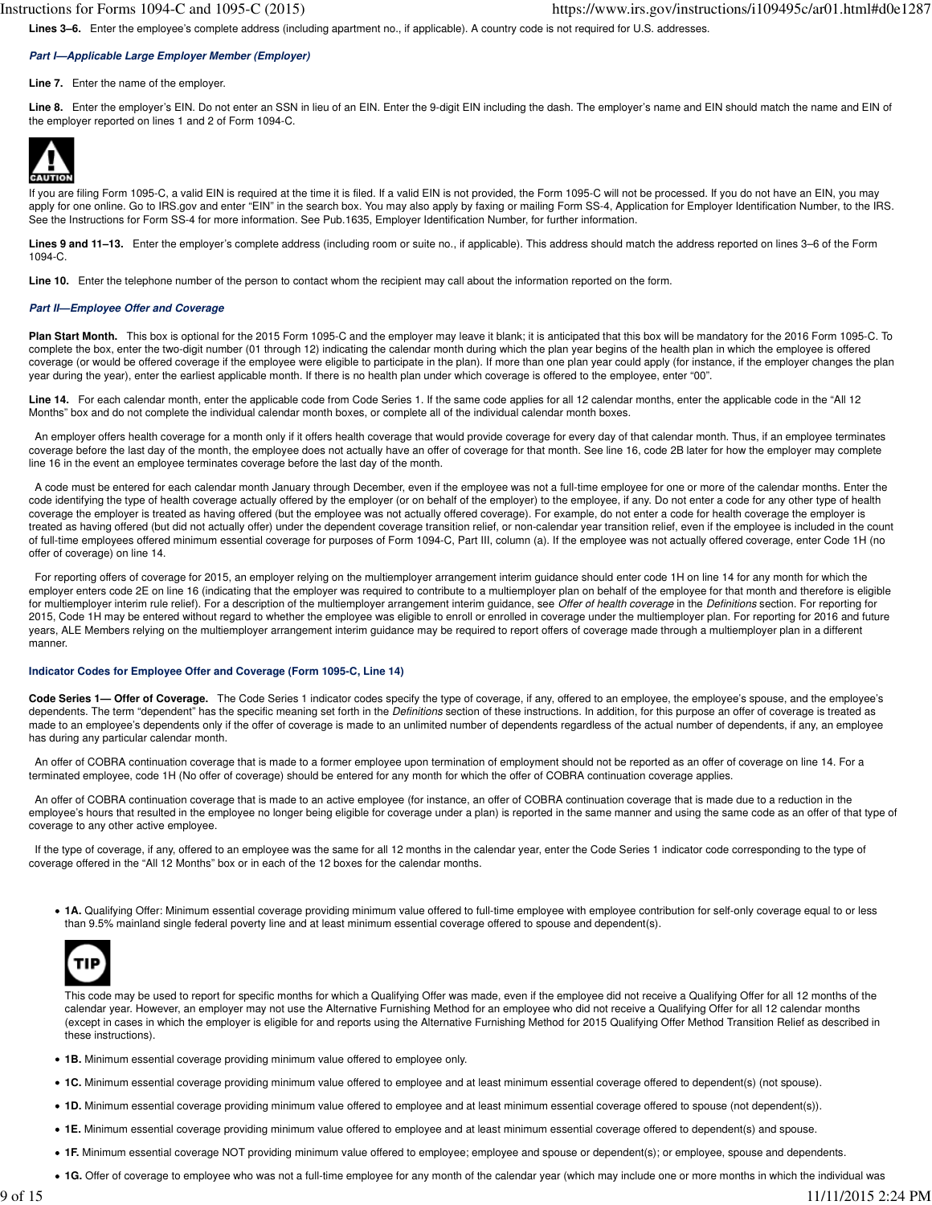Lines 3–6. Enter the employee's complete address (including apartment no., if applicable). A country code is not required for U.S. addresses.

# **Part I—Applicable Large Employer Member (Employer)**

**Line 7.** Enter the name of the employer.

**Line 8.** Enter the employer's EIN. Do not enter an SSN in lieu of an EIN. Enter the 9-digit EIN including the dash. The employer's name and EIN should match the name and EIN of the employer reported on lines 1 and 2 of Form 1094-C.



If you are filing Form 1095-C, a valid EIN is required at the time it is filed. If a valid EIN is not provided, the Form 1095-C will not be processed. If you do not have an EIN, you may apply for one online. Go to IRS.gov and enter "EIN" in the search box. You may also apply by faxing or mailing Form SS-4, Application for Employer Identification Number, to the IRS. See the Instructions for Form SS-4 for more information. See Pub.1635, Employer Identification Number, for further information.

Lines 9 and 11-13. Enter the employer's complete address (including room or suite no., if applicable). This address should match the address reported on lines 3-6 of the Form 1094-C.

**Line 10.** Enter the telephone number of the person to contact whom the recipient may call about the information reported on the form.

## **Part II—Employee Offer and Coverage**

**Plan Start Month.** This box is optional for the 2015 Form 1095-C and the employer may leave it blank; it is anticipated that this box will be mandatory for the 2016 Form 1095-C. To complete the box, enter the two-digit number (01 through 12) indicating the calendar month during which the plan year begins of the health plan in which the employee is offered coverage (or would be offered coverage if the employee were eligible to participate in the plan). If more than one plan year could apply (for instance, if the employer changes the plan year during the year), enter the earliest applicable month. If there is no health plan under which coverage is offered to the employee, enter "00".

**Line 14.** For each calendar month, enter the applicable code from Code Series 1. If the same code applies for all 12 calendar months, enter the applicable code in the "All 12 Months" box and do not complete the individual calendar month boxes, or complete all of the individual calendar month boxes.

 An employer offers health coverage for a month only if it offers health coverage that would provide coverage for every day of that calendar month. Thus, if an employee terminates coverage before the last day of the month, the employee does not actually have an offer of coverage for that month. See line 16, code 2B later for how the employer may complete line 16 in the event an employee terminates coverage before the last day of the month.

 A code must be entered for each calendar month January through December, even if the employee was not a full-time employee for one or more of the calendar months. Enter the code identifying the type of health coverage actually offered by the employer (or on behalf of the employer) to the employee, if any. Do not enter a code for any other type of health coverage the employer is treated as having offered (but the employee was not actually offered coverage). For example, do not enter a code for health coverage the employer is treated as having offered (but did not actually offer) under the dependent coverage transition relief, or non-calendar year transition relief, even if the employee is included in the count of full-time employees offered minimum essential coverage for purposes of Form 1094-C, Part III, column (a). If the employee was not actually offered coverage, enter Code 1H (no offer of coverage) on line 14.

 For reporting offers of coverage for 2015, an employer relying on the multiemployer arrangement interim guidance should enter code 1H on line 14 for any month for which the employer enters code 2E on line 16 (indicating that the employer was required to contribute to a multiemployer plan on behalf of the employee for that month and therefore is eligible for multiemployer interim rule relief). For a description of the multiemployer arrangement interim guidance, see Offer of health coverage in the Definitions section. For reporting for 2015, Code 1H may be entered without regard to whether the employee was eligible to enroll or enrolled in coverage under the multiemployer plan. For reporting for 2016 and future years, ALE Members relying on the multiemployer arrangement interim guidance may be required to report offers of coverage made through a multiemployer plan in a different manner.

# **Indicator Codes for Employee Offer and Coverage (Form 1095-C, Line 14)**

**Code Series 1— Offer of Coverage.** The Code Series 1 indicator codes specify the type of coverage, if any, offered to an employee, the employee's spouse, and the employee's dependents. The term "dependent" has the specific meaning set forth in the *Definitions* section of these instructions. In addition, for this purpose an offer of coverage is treated as made to an employee's dependents only if the offer of coverage is made to an unlimited number of dependents regardless of the actual number of dependents, if any, an employee has during any particular calendar month.

 An offer of COBRA continuation coverage that is made to a former employee upon termination of employment should not be reported as an offer of coverage on line 14. For a terminated employee, code 1H (No offer of coverage) should be entered for any month for which the offer of COBRA continuation coverage applies.

 An offer of COBRA continuation coverage that is made to an active employee (for instance, an offer of COBRA continuation coverage that is made due to a reduction in the employee's hours that resulted in the employee no longer being eligible for coverage under a plan) is reported in the same manner and using the same code as an offer of that type of coverage to any other active employee.

If the type of coverage, if any, offered to an employee was the same for all 12 months in the calendar year, enter the Code Series 1 indicator code corresponding to the type of coverage offered in the "All 12 Months" box or in each of the 12 boxes for the calendar months.

**1A.** Qualifying Offer: Minimum essential coverage providing minimum value offered to full-time employee with employee contribution for self-only coverage equal to or less than 9.5% mainland single federal poverty line and at least minimum essential coverage offered to spouse and dependent(s).



This code may be used to report for specific months for which a Qualifying Offer was made, even if the employee did not receive a Qualifying Offer for all 12 months of the calendar year. However, an employer may not use the Alternative Furnishing Method for an employee who did not receive a Qualifying Offer for all 12 calendar months (except in cases in which the employer is eligible for and reports using the Alternative Furnishing Method for 2015 Qualifying Offer Method Transition Relief as described in these instructions).

- **1B.** Minimum essential coverage providing minimum value offered to employee only.
- **1C.** Minimum essential coverage providing minimum value offered to employee and at least minimum essential coverage offered to dependent(s) (not spouse).
- **1D.** Minimum essential coverage providing minimum value offered to employee and at least minimum essential coverage offered to spouse (not dependent(s)).
- **1E.** Minimum essential coverage providing minimum value offered to employee and at least minimum essential coverage offered to dependent(s) and spouse.
- **1F.** Minimum essential coverage NOT providing minimum value offered to employee; employee and spouse or dependent(s); or employee, spouse and dependents.
- **1G.** Offer of coverage to employee who was not a full-time employee for any month of the calendar year (which may include one or more months in which the individual was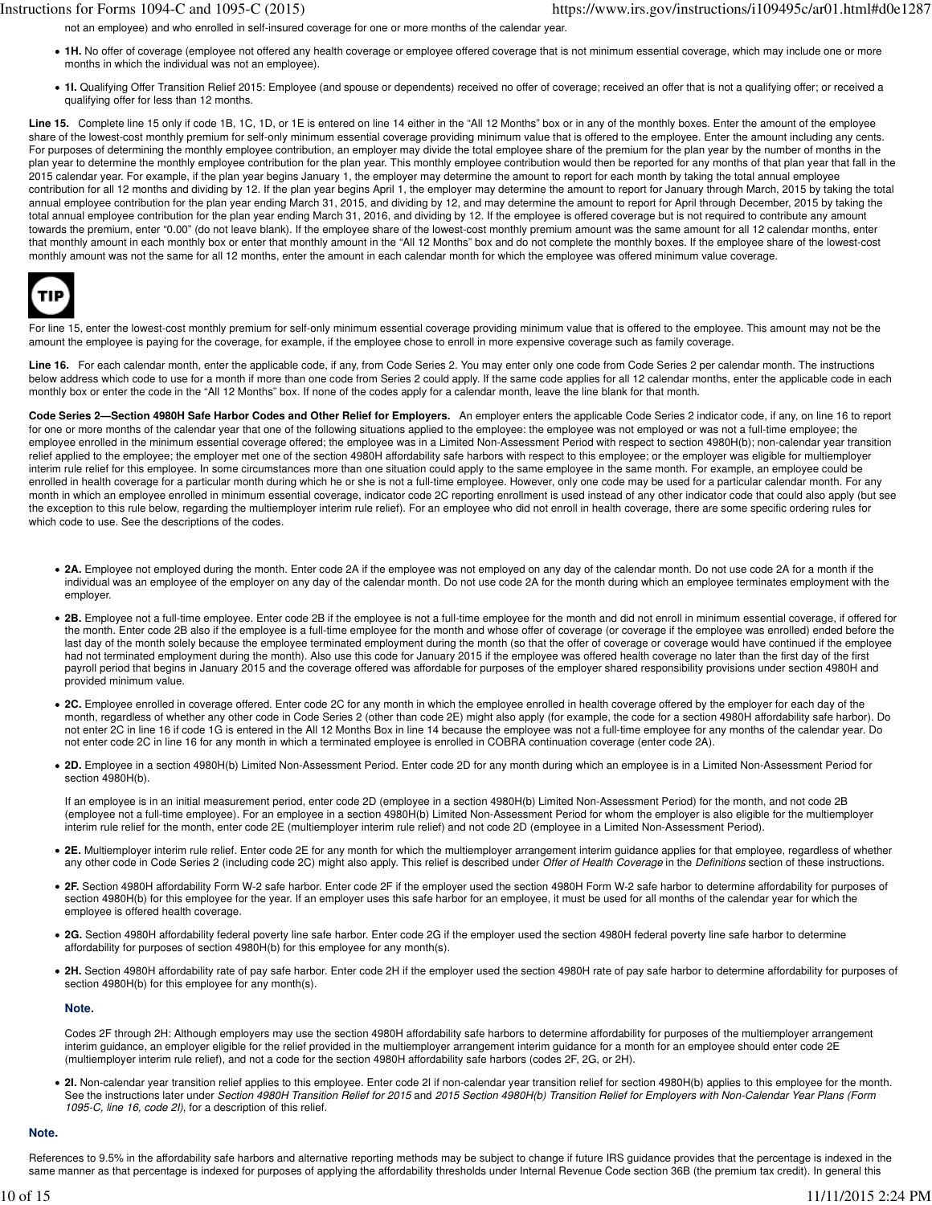not an employee) and who enrolled in self-insured coverage for one or more months of the calendar year.

- **1H.** No offer of coverage (employee not offered any health coverage or employee offered coverage that is not minimum essential coverage, which may include one or more months in which the individual was not an employee).
- **1I.** Qualifying Offer Transition Relief 2015: Employee (and spouse or dependents) received no offer of coverage; received an offer that is not a qualifying offer; or received a qualifying offer for less than 12 months.

Line 15. Complete line 15 only if code 1B, 1C, 1D, or 1E is entered on line 14 either in the "All 12 Months" box or in any of the monthly boxes. Enter the amount of the employee share of the lowest-cost monthly premium for self-only minimum essential coverage providing minimum value that is offered to the employee. Enter the amount including any cents. For purposes of determining the monthly employee contribution, an employer may divide the total employee share of the premium for the plan year by the number of months in the plan year to determine the monthly employee contribution for the plan year. This monthly employee contribution would then be reported for any months of that plan year that fall in the 2015 calendar year. For example, if the plan year begins January 1, the employer may determine the amount to report for each month by taking the total annual employee contribution for all 12 months and dividing by 12. If the plan year begins April 1, the employer may determine the amount to report for January through March, 2015 by taking the total annual employee contribution for the plan year ending March 31, 2015, and dividing by 12, and may determine the amount to report for April through December, 2015 by taking the total annual employee contribution for the plan year ending March 31, 2016, and dividing by 12. If the employee is offered coverage but is not required to contribute any amount towards the premium, enter "0.00" (do not leave blank). If the employee share of the lowest-cost monthly premium amount was the same amount for all 12 calendar months, enter that monthly amount in each monthly box or enter that monthly amount in the "All 12 Months" box and do not complete the monthly boxes. If the employee share of the lowest-cost monthly amount was not the same for all 12 months, enter the amount in each calendar month for which the employee was offered minimum value coverage.



For line 15, enter the lowest-cost monthly premium for self-only minimum essential coverage providing minimum value that is offered to the employee. This amount may not be the amount the employee is paying for the coverage, for example, if the employee chose to enroll in more expensive coverage such as family coverage.

**Line 16.** For each calendar month, enter the applicable code, if any, from Code Series 2. You may enter only one code from Code Series 2 per calendar month. The instructions below address which code to use for a month if more than one code from Series 2 could apply. If the same code applies for all 12 calendar months, enter the applicable code in each monthly box or enter the code in the "All 12 Months" box. If none of the codes apply for a calendar month, leave the line blank for that month.

**Code Series 2—Section 4980H Safe Harbor Codes and Other Relief for Employers.** An employer enters the applicable Code Series 2 indicator code, if any, on line 16 to report for one or more months of the calendar year that one of the following situations applied to the employee: the employee was not employed or was not a full-time employee; the employee enrolled in the minimum essential coverage offered; the employee was in a Limited Non-Assessment Period with respect to section 4980H(b); non-calendar year transition relief applied to the employee; the employer met one of the section 4980H affordability safe harbors with respect to this employee; or the employer was eligible for multiemployer interim rule relief for this employee. In some circumstances more than one situation could apply to the same employee in the same month. For example, an employee could be enrolled in health coverage for a particular month during which he or she is not a full-time employee. However, only one code may be used for a particular calendar month. For any month in which an employee enrolled in minimum essential coverage, indicator code 2C reporting enrollment is used instead of any other indicator code that could also apply (but see the exception to this rule below, regarding the multiemployer interim rule relief). For an employee who did not enroll in health coverage, there are some specific ordering rules for which code to use. See the descriptions of the codes.

- **2A.** Employee not employed during the month. Enter code 2A if the employee was not employed on any day of the calendar month. Do not use code 2A for a month if the individual was an employee of the employer on any day of the calendar month. Do not use code 2A for the month during which an employee terminates employment with the employer.
- **2B.** Employee not a full-time employee. Enter code 2B if the employee is not a full-time employee for the month and did not enroll in minimum essential coverage, if offered for the month. Enter code 2B also if the employee is a full-time employee for the month and whose offer of coverage (or coverage if the employee was enrolled) ended before the last day of the month solely because the employee terminated employment during the month (so that the offer of coverage or coverage would have continued if the employee had not terminated employment during the month). Also use this code for January 2015 if the employee was offered health coverage no later than the first day of the first payroll period that begins in January 2015 and the coverage offered was affordable for purposes of the employer shared responsibility provisions under section 4980H and provided minimum value.
- **2C.** Employee enrolled in coverage offered. Enter code 2C for any month in which the employee enrolled in health coverage offered by the employer for each day of the month, regardless of whether any other code in Code Series 2 (other than code 2E) might also apply (for example, the code for a section 4980H affordability safe harbor). Do not enter 2C in line 16 if code 1G is entered in the All 12 Months Box in line 14 because the employee was not a full-time employee for any months of the calendar year. Do not enter code 2C in line 16 for any month in which a terminated employee is enrolled in COBRA continuation coverage (enter code 2A).
- **2D.** Employee in a section 4980H(b) Limited Non-Assessment Period. Enter code 2D for any month during which an employee is in a Limited Non-Assessment Period for section 4980H(b).

If an employee is in an initial measurement period, enter code 2D (employee in a section 4980H(b) Limited Non-Assessment Period) for the month, and not code 2B (employee not a full-time employee). For an employee in a section 4980H(b) Limited Non-Assessment Period for whom the employer is also eligible for the multiemployer interim rule relief for the month, enter code 2E (multiemployer interim rule relief) and not code 2D (employee in a Limited Non-Assessment Period).

- **2E.** Multiemployer interim rule relief. Enter code 2E for any month for which the multiemployer arrangement interim guidance applies for that employee, regardless of whether any other code in Code Series 2 (including code 2C) might also apply. This relief is described under Offer of Health Coverage in the Definitions section of these instructions.
- **2F.** Section 4980H affordability Form W-2 safe harbor. Enter code 2F if the employer used the section 4980H Form W-2 safe harbor to determine affordability for purposes of section 4980H(b) for this employee for the year. If an employer uses this safe harbor for an employee, it must be used for all months of the calendar year for which the employee is offered health coverage.
- **2G.** Section 4980H affordability federal poverty line safe harbor. Enter code 2G if the employer used the section 4980H federal poverty line safe harbor to determine affordability for purposes of section 4980H(b) for this employee for any month(s).
- 2H. Section 4980H affordability rate of pay safe harbor. Enter code 2H if the employer used the section 4980H rate of pay safe harbor to determine affordability for purposes of section 4980H(b) for this employee for any month(s).

# **Note.**

Codes 2F through 2H: Although employers may use the section 4980H affordability safe harbors to determine affordability for purposes of the multiemployer arrangement interim guidance, an employer eligible for the relief provided in the multiemployer arrangement interim guidance for a month for an employee should enter code 2E (multiemployer interim rule relief), and not a code for the section 4980H affordability safe harbors (codes 2F, 2G, or 2H).

• 2I. Non-calendar year transition relief applies to this employee. Enter code 2I if non-calendar year transition relief for section 4980H(b) applies to this employee for the month. See the instructions later under Section 4980H Transition Relief for 2015 and 2015 Section 4980H(b) Transition Relief for Employers with Non-Calendar Year Plans (Form 1095-C, line 16, code 2I), for a description of this relief.

### **Note.**

References to 9.5% in the affordability safe harbors and alternative reporting methods may be subject to change if future IRS guidance provides that the percentage is indexed in the same manner as that percentage is indexed for purposes of applying the affordability thresholds under Internal Revenue Code section 36B (the premium tax credit). In general this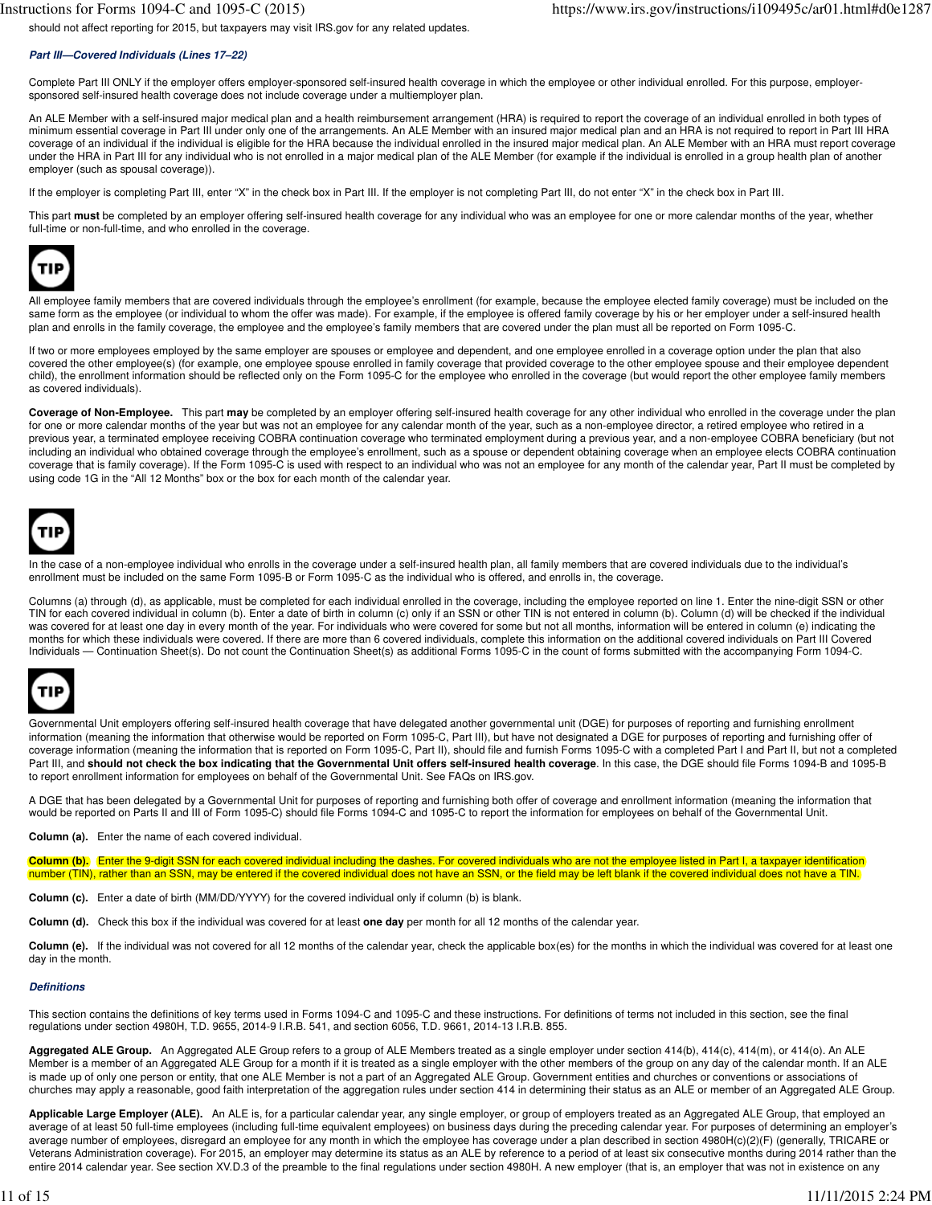# **Part III—Covered Individuals (Lines 17–22)**

Complete Part III ONLY if the employer offers employer-sponsored self-insured health coverage in which the employee or other individual enrolled. For this purpose, employersponsored self-insured health coverage does not include coverage under a multiemployer plan.

An ALE Member with a self-insured major medical plan and a health reimbursement arrangement (HRA) is required to report the coverage of an individual enrolled in both types of minimum essential coverage in Part III under only one of the arrangements. An ALE Member with an insured major medical plan and an HRA is not required to report in Part III HRA coverage of an individual if the individual is eligible for the HRA because the individual enrolled in the insured major medical plan. An ALE Member with an HRA must report coverage under the HRA in Part III for any individual who is not enrolled in a major medical plan of the ALE Member (for example if the individual is enrolled in a group health plan of another employer (such as spousal coverage)).

If the employer is completing Part III, enter "X" in the check box in Part III. If the employer is not completing Part III, do not enter "X" in the check box in Part III.

This part **must** be completed by an employer offering self-insured health coverage for any individual who was an employee for one or more calendar months of the year, whether full-time or non-full-time, and who enrolled in the coverage.



All employee family members that are covered individuals through the employee's enrollment (for example, because the employee elected family coverage) must be included on the same form as the employee (or individual to whom the offer was made). For example, if the employee is offered family coverage by his or her employer under a self-insured health plan and enrolls in the family coverage, the employee and the employee's family members that are covered under the plan must all be reported on Form 1095-C.

If two or more employees employed by the same employer are spouses or employee and dependent, and one employee enrolled in a coverage option under the plan that also covered the other employee(s) (for example, one employee spouse enrolled in family coverage that provided coverage to the other employee spouse and their employee dependent child), the enrollment information should be reflected only on the Form 1095-C for the employee who enrolled in the coverage (but would report the other employee family members as covered individuals).

**Coverage of Non-Employee.** This part **may** be completed by an employer offering self-insured health coverage for any other individual who enrolled in the coverage under the plan for one or more calendar months of the year but was not an employee for any calendar month of the year, such as a non-employee director, a retired employee who retired in a previous year, a terminated employee receiving COBRA continuation coverage who terminated employment during a previous year, and a non-employee COBRA beneficiary (but not including an individual who obtained coverage through the employee's enrollment, such as a spouse or dependent obtaining coverage when an employee elects COBRA continuation coverage that is family coverage). If the Form 1095-C is used with respect to an individual who was not an employee for any month of the calendar year, Part II must be completed by using code 1G in the "All 12 Months" box or the box for each month of the calendar year.



In the case of a non-employee individual who enrolls in the coverage under a self-insured health plan, all family members that are covered individuals due to the individual's enrollment must be included on the same Form 1095-B or Form 1095-C as the individual who is offered, and enrolls in, the coverage.

Columns (a) through (d), as applicable, must be completed for each individual enrolled in the coverage, including the employee reported on line 1. Enter the nine-digit SSN or other TIN for each covered individual in column (b). Enter a date of birth in column (c) only if an SSN or other TIN is not entered in column (b). Column (d) will be checked if the individual was covered for at least one day in every month of the year. For individuals who were covered for some but not all months, information will be entered in column (e) indicating the months for which these individuals were covered. If there are more than 6 covered individuals, complete this information on the additional covered individuals on Part III Covered Individuals — Continuation Sheet(s). Do not count the Continuation Sheet(s) as additional Forms 1095-C in the count of forms submitted with the accompanying Form 1094-C.



Governmental Unit employers offering self-insured health coverage that have delegated another governmental unit (DGE) for purposes of reporting and furnishing enrollment information (meaning the information that otherwise would be reported on Form 1095-C, Part III), but have not designated a DGE for purposes of reporting and furnishing offer of coverage information (meaning the information that is reported on Form 1095-C, Part II), should file and furnish Forms 1095-C with a completed Part I and Part II, but not a completed Part III, and **should not check the box indicating that the Governmental Unit offers self-insured health coverage**. In this case, the DGE should file Forms 1094-B and 1095-B to report enrollment information for employees on behalf of the Governmental Unit. See FAQs on IRS.gov.

A DGE that has been delegated by a Governmental Unit for purposes of reporting and furnishing both offer of coverage and enrollment information (meaning the information that would be reported on Parts II and III of Form 1095-C) should file Forms 1094-C and 1095-C to report the information for employees on behalf of the Governmental Unit.

**Column (a).** Enter the name of each covered individual.

Column (b). Enter the 9-digit SSN for each covered individual including the dashes. For covered individuals who are not the employee listed in Part I, a taxpayer identification number (TIN), rather than an SSN, may be entered if the covered individual does not have an SSN, or the field may be left blank if the covered individual does not have a TIN.

**Column (c).** Enter a date of birth (MM/DD/YYYY) for the covered individual only if column (b) is blank.

**Column (d).** Check this box if the individual was covered for at least **one day** per month for all 12 months of the calendar year.

Column (e). If the individual was not covered for all 12 months of the calendar year, check the applicable box(es) for the months in which the individual was covered for at least one day in the month.

#### **Definitions**

This section contains the definitions of key terms used in Forms 1094-C and 1095-C and these instructions. For definitions of terms not included in this section, see the final regulations under section 4980H, T.D. 9655, 2014-9 I.R.B. 541, and section 6056, T.D. 9661, 2014-13 I.R.B. 855.

**Aggregated ALE Group.** An Aggregated ALE Group refers to a group of ALE Members treated as a single employer under section 414(b), 414(c), 414(m), or 414(o). An ALE Member is a member of an Aggregated ALE Group for a month if it is treated as a single employer with the other members of the group on any day of the calendar month. If an ALE is made up of only one person or entity, that one ALE Member is not a part of an Aggregated ALE Group. Government entities and churches or conventions or associations of churches may apply a reasonable, good faith interpretation of the aggregation rules under section 414 in determining their status as an ALE or member of an Aggregated ALE Group.

Applicable Large Employer (ALE). An ALE is, for a particular calendar year, any single employer, or group of employers treated as an Aggregated ALE Group, that employed an average of at least 50 full-time employees (including full-time equivalent employees) on business days during the preceding calendar year. For purposes of determining an employer's average number of employees, disregard an employee for any month in which the employee has coverage under a plan described in section 4980H(c)(2)(F) (generally, TRICARE or Veterans Administration coverage). For 2015, an employer may determine its status as an ALE by reference to a period of at least six consecutive months during 2014 rather than the entire 2014 calendar year. See section XV.D.3 of the preamble to the final regulations under section 4980H. A new employer (that is, an employer that was not in existence on any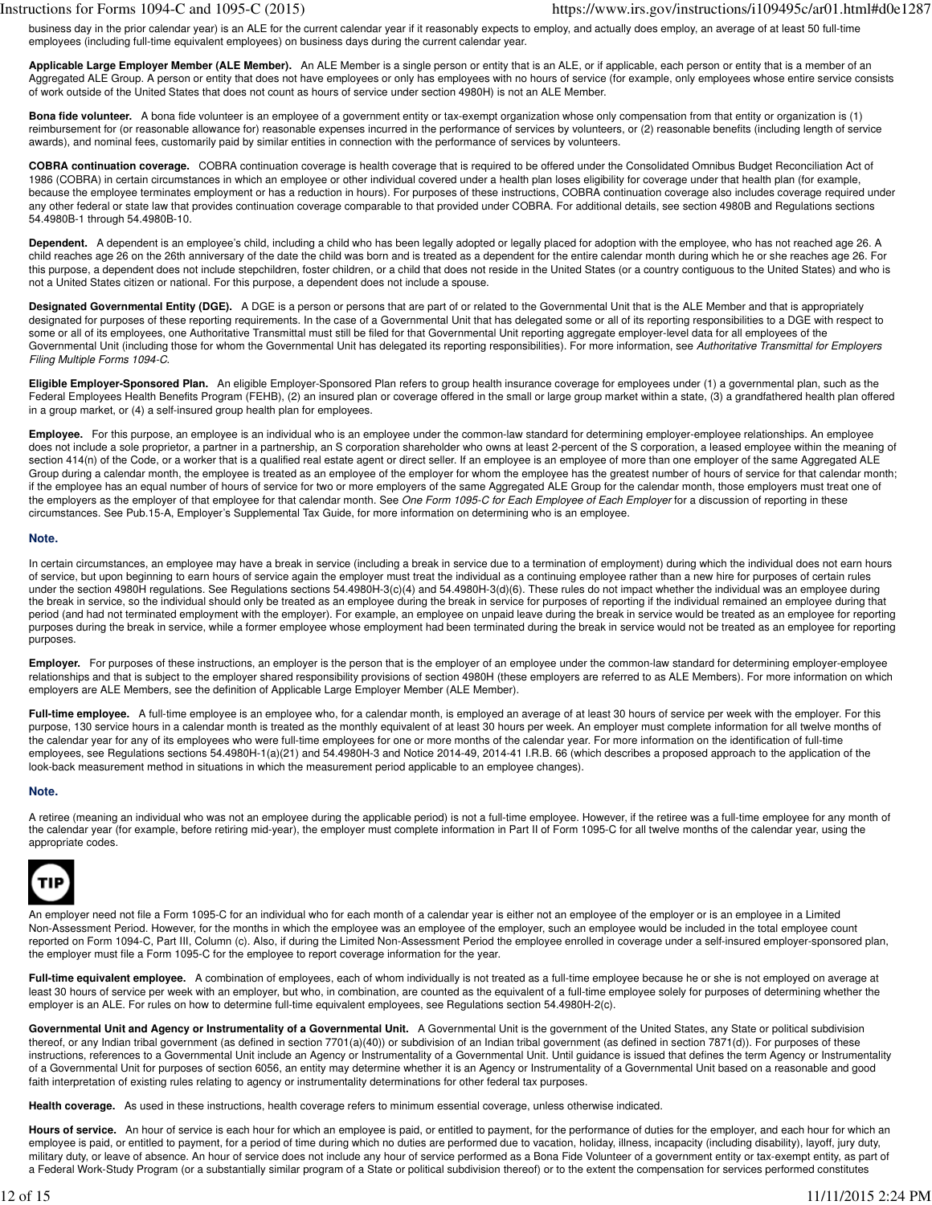business day in the prior calendar year) is an ALE for the current calendar year if it reasonably expects to employ, and actually does employ, an average of at least 50 full-time employees (including full-time equivalent employees) on business days during the current calendar year.

**Applicable Large Employer Member (ALE Member).** An ALE Member is a single person or entity that is an ALE, or if applicable, each person or entity that is a member of an Aggregated ALE Group. A person or entity that does not have employees or only has employees with no hours of service (for example, only employees whose entire service consists of work outside of the United States that does not count as hours of service under section 4980H) is not an ALE Member.

**Bona fide volunteer.** A bona fide volunteer is an employee of a government entity or tax-exempt organization whose only compensation from that entity or organization is (1) reimbursement for (or reasonable allowance for) reasonable expenses incurred in the performance of services by volunteers, or (2) reasonable benefits (including length of service awards), and nominal fees, customarily paid by similar entities in connection with the performance of services by volunteers.

**COBRA continuation coverage.** COBRA continuation coverage is health coverage that is required to be offered under the Consolidated Omnibus Budget Reconciliation Act of 1986 (COBRA) in certain circumstances in which an employee or other individual covered under a health plan loses eligibility for coverage under that health plan (for example, because the employee terminates employment or has a reduction in hours). For purposes of these instructions, COBRA continuation coverage also includes coverage required under any other federal or state law that provides continuation coverage comparable to that provided under COBRA. For additional details, see section 4980B and Regulations sections 54.4980B-1 through 54.4980B-10.

**Dependent.** A dependent is an employee's child, including a child who has been legally adopted or legally placed for adoption with the employee, who has not reached age 26. A child reaches age 26 on the 26th anniversary of the date the child was born and is treated as a dependent for the entire calendar month during which he or she reaches age 26. For this purpose, a dependent does not include stepchildren, foster children, or a child that does not reside in the United States (or a country contiguous to the United States) and who is not a United States citizen or national. For this purpose, a dependent does not include a spouse.

**Designated Governmental Entity (DGE).** A DGE is a person or persons that are part of or related to the Governmental Unit that is the ALE Member and that is appropriately designated for purposes of these reporting requirements. In the case of a Governmental Unit that has delegated some or all of its reporting responsibilities to a DGE with respect to some or all of its employees, one Authoritative Transmittal must still be filed for that Governmental Unit reporting aggregate employer-level data for all employees of the Governmental Unit (including those for whom the Governmental Unit has delegated its reporting responsibilities). For more information, see Authoritative Transmittal for Employers Filing Multiple Forms 1094-C.

**Eligible Employer-Sponsored Plan.** An eligible Employer-Sponsored Plan refers to group health insurance coverage for employees under (1) a governmental plan, such as the Federal Employees Health Benefits Program (FEHB), (2) an insured plan or coverage offered in the small or large group market within a state, (3) a grandfathered health plan offered in a group market, or (4) a self-insured group health plan for employees.

Employee. For this purpose, an employee is an individual who is an employee under the common-law standard for determining employer-employee relationships. An employee does not include a sole proprietor, a partner in a partnership, an S corporation shareholder who owns at least 2-percent of the S corporation, a leased employee within the meaning of section 414(n) of the Code, or a worker that is a qualified real estate agent or direct seller. If an employee is an employee of more than one employer of the same Aggregated ALE Group during a calendar month, the employee is treated as an employee of the employer for whom the employee has the greatest number of hours of service for that calendar month; if the employee has an equal number of hours of service for two or more employers of the same Aggregated ALE Group for the calendar month, those employers must treat one of the employers as the employer of that employee for that calendar month. See One Form 1095-C for Each Employee of Each Employer for a discussion of reporting in these circumstances. See Pub.15-A, Employer's Supplemental Tax Guide, for more information on determining who is an employee.

# **Note.**

In certain circumstances, an employee may have a break in service (including a break in service due to a termination of employment) during which the individual does not earn hours of service, but upon beginning to earn hours of service again the employer must treat the individual as a continuing employee rather than a new hire for purposes of certain rules under the section 4980H regulations. See Regulations sections 54.4980H-3(c)(4) and 54.4980H-3(d)(6). These rules do not impact whether the individual was an employee during the break in service, so the individual should only be treated as an employee during the break in service for purposes of reporting if the individual remained an employee during that period (and had not terminated employment with the employer). For example, an employee on unpaid leave during the break in service would be treated as an employee for reporting purposes during the break in service, while a former employee whose employment had been terminated during the break in service would not be treated as an employee for reporting purposes.

**Employer.** For purposes of these instructions, an employer is the person that is the employer of an employee under the common-law standard for determining employer-employee relationships and that is subject to the employer shared responsibility provisions of section 4980H (these employers are referred to as ALE Members). For more information on which employers are ALE Members, see the definition of Applicable Large Employer Member (ALE Member).

Full-time employee. A full-time employee is an employee who, for a calendar month, is employed an average of at least 30 hours of service per week with the employer. For this purpose, 130 service hours in a calendar month is treated as the monthly equivalent of at least 30 hours per week. An employer must complete information for all twelve months of the calendar year for any of its employees who were full-time employees for one or more months of the calendar year. For more information on the identification of full-time employees, see Regulations sections 54.4980H-1(a)(21) and 54.4980H-3 and Notice 2014-49, 2014-41 I.R.B. 66 (which describes a proposed approach to the application of the look-back measurement method in situations in which the measurement period applicable to an employee changes).

# **Note.**

A retiree (meaning an individual who was not an employee during the applicable period) is not a full-time employee. However, if the retiree was a full-time employee for any month of the calendar year (for example, before retiring mid-year), the employer must complete information in Part II of Form 1095-C for all twelve months of the calendar year, using the appropriate codes.



An employer need not file a Form 1095-C for an individual who for each month of a calendar year is either not an employee of the employer or is an employee in a Limited Non-Assessment Period. However, for the months in which the employee was an employee of the employer, such an employee would be included in the total employee count reported on Form 1094-C, Part III, Column (c). Also, if during the Limited Non-Assessment Period the employee enrolled in coverage under a self-insured employer-sponsored plan, the employer must file a Form 1095-C for the employee to report coverage information for the year.

Full-time equivalent employee. A combination of employees, each of whom individually is not treated as a full-time employee because he or she is not employed on average at least 30 hours of service per week with an employer, but who, in combination, are counted as the equivalent of a full-time employee solely for purposes of determining whether the employer is an ALE. For rules on how to determine full-time equivalent employees, see Regulations section 54.4980H-2(c).

Governmental Unit and Agency or Instrumentality of a Governmental Unit. A Governmental Unit is the government of the United States, any State or political subdivision thereof, or any Indian tribal government (as defined in section 7701(a)(40)) or subdivision of an Indian tribal government (as defined in section 7871(d)). For purposes of these instructions, references to a Governmental Unit include an Agency or Instrumentality of a Governmental Unit. Until guidance is issued that defines the term Agency or Instrumentality of a Governmental Unit for purposes of section 6056, an entity may determine whether it is an Agency or Instrumentality of a Governmental Unit based on a reasonable and good faith interpretation of existing rules relating to agency or instrumentality determinations for other federal tax purposes.

**Health coverage.** As used in these instructions, health coverage refers to minimum essential coverage, unless otherwise indicated.

Hours of service. An hour of service is each hour for which an employee is paid, or entitled to payment, for the performance of duties for the employer, and each hour for which an employee is paid, or entitled to payment, for a period of time during which no duties are performed due to vacation, holiday, illness, incapacity (including disability), layoff, jury duty, military duty, or leave of absence. An hour of service does not include any hour of service performed as a Bona Fide Volunteer of a government entity or tax-exempt entity, as part of a Federal Work-Study Program (or a substantially similar program of a State or political subdivision thereof) or to the extent the compensation for services performed constitutes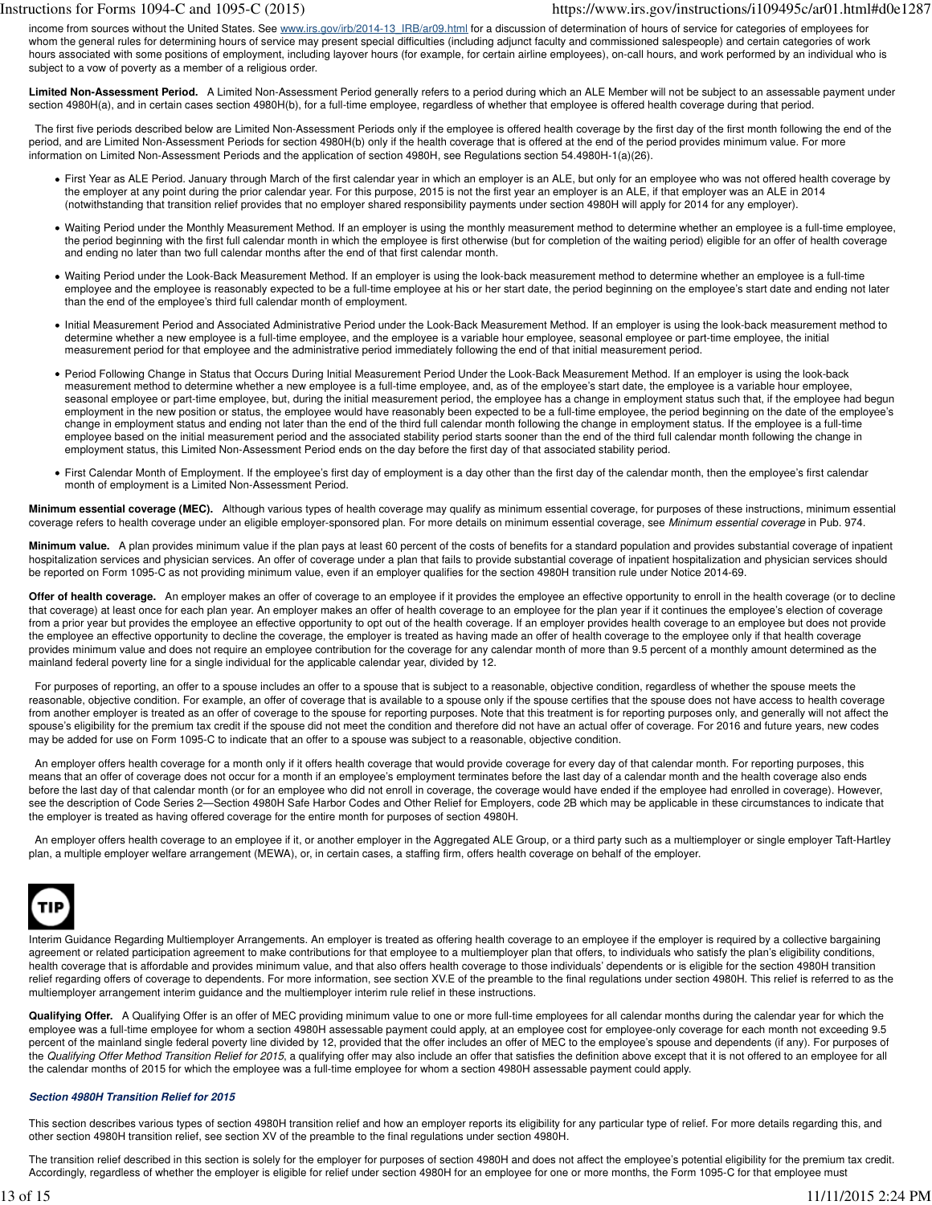income from sources without the United States. See www.irs.gov/irb/2014-13 IRB/ar09.html for a discussion of determination of hours of service for categories of employees for whom the general rules for determining hours of service may present special difficulties (including adjunct faculty and commissioned salespeople) and certain categories of work hours associated with some positions of employment, including layover hours (for example, for certain airline employees), on-call hours, and work performed by an individual who is subject to a vow of poverty as a member of a religious order.

**Limited Non-Assessment Period.** A Limited Non-Assessment Period generally refers to a period during which an ALE Member will not be subject to an assessable payment under section 4980H(a), and in certain cases section 4980H(b), for a full-time employee, regardless of whether that employee is offered health coverage during that period.

The first five periods described below are Limited Non-Assessment Periods only if the employee is offered health coverage by the first day of the first month following the end of the period, and are Limited Non-Assessment Periods for section 4980H(b) only if the health coverage that is offered at the end of the period provides minimum value. For more information on Limited Non-Assessment Periods and the application of section 4980H, see Regulations section 54.4980H-1(a)(26).

- First Year as ALE Period. January through March of the first calendar year in which an employer is an ALE, but only for an employee who was not offered health coverage by the employer at any point during the prior calendar year. For this purpose, 2015 is not the first year an employer is an ALE, if that employer was an ALE in 2014 (notwithstanding that transition relief provides that no employer shared responsibility payments under section 4980H will apply for 2014 for any employer).
- Waiting Period under the Monthly Measurement Method. If an employer is using the monthly measurement method to determine whether an employee is a full-time employee, the period beginning with the first full calendar month in which the employee is first otherwise (but for completion of the waiting period) eligible for an offer of health coverage and ending no later than two full calendar months after the end of that first calendar month.
- Waiting Period under the Look-Back Measurement Method. If an employer is using the look-back measurement method to determine whether an employee is a full-time employee and the employee is reasonably expected to be a full-time employee at his or her start date, the period beginning on the employee's start date and ending not later than the end of the employee's third full calendar month of employment.
- Initial Measurement Period and Associated Administrative Period under the Look-Back Measurement Method. If an employer is using the look-back measurement method to determine whether a new employee is a full-time employee, and the employee is a variable hour employee, seasonal employee or part-time employee, the initial measurement period for that employee and the administrative period immediately following the end of that initial measurement period.
- Period Following Change in Status that Occurs During Initial Measurement Period Under the Look-Back Measurement Method. If an employer is using the look-back measurement method to determine whether a new employee is a full-time employee, and, as of the employee's start date, the employee is a variable hour employee, seasonal employee or part-time employee, but, during the initial measurement period, the employee has a change in employment status such that, if the employee had begun employment in the new position or status, the employee would have reasonably been expected to be a full-time employee, the period beginning on the date of the employee's change in employment status and ending not later than the end of the third full calendar month following the change in employment status. If the employee is a full-time employee based on the initial measurement period and the associated stability period starts sooner than the end of the third full calendar month following the change in employment status, this Limited Non-Assessment Period ends on the day before the first day of that associated stability period.
- First Calendar Month of Employment. If the employee's first day of employment is a day other than the first day of the calendar month, then the employee's first calendar month of employment is a Limited Non-Assessment Period.

**Minimum essential coverage (MEC).** Although various types of health coverage may qualify as minimum essential coverage, for purposes of these instructions, minimum essential coverage refers to health coverage under an eligible employer-sponsored plan. For more details on minimum essential coverage, see Minimum essential coverage in Pub. 974.

**Minimum value.** A plan provides minimum value if the plan pays at least 60 percent of the costs of benefits for a standard population and provides substantial coverage of inpatient hospitalization services and physician services. An offer of coverage under a plan that fails to provide substantial coverage of inpatient hospitalization and physician services should be reported on Form 1095-C as not providing minimum value, even if an employer qualifies for the section 4980H transition rule under Notice 2014-69.

Offer of health coverage. An employer makes an offer of coverage to an employee if it provides the employee an effective opportunity to enroll in the health coverage (or to decline that coverage) at least once for each plan year. An employer makes an offer of health coverage to an employee for the plan year if it continues the employee's election of coverage from a prior year but provides the employee an effective opportunity to opt out of the health coverage. If an employer provides health coverage to an employee but does not provide the employee an effective opportunity to decline the coverage, the employer is treated as having made an offer of health coverage to the employee only if that health coverage provides minimum value and does not require an employee contribution for the coverage for any calendar month of more than 9.5 percent of a monthly amount determined as the mainland federal poverty line for a single individual for the applicable calendar year, divided by 12.

For purposes of reporting, an offer to a spouse includes an offer to a spouse that is subject to a reasonable, objective condition, regardless of whether the spouse meets the reasonable, objective condition. For example, an offer of coverage that is available to a spouse only if the spouse certifies that the spouse does not have access to health coverage from another employer is treated as an offer of coverage to the spouse for reporting purposes. Note that this treatment is for reporting purposes only, and generally will not affect the spouse's eligibility for the premium tax credit if the spouse did not meet the condition and therefore did not have an actual offer of coverage. For 2016 and future years, new codes may be added for use on Form 1095-C to indicate that an offer to a spouse was subject to a reasonable, objective condition.

 An employer offers health coverage for a month only if it offers health coverage that would provide coverage for every day of that calendar month. For reporting purposes, this means that an offer of coverage does not occur for a month if an employee's employment terminates before the last day of a calendar month and the health coverage also ends before the last day of that calendar month (or for an employee who did not enroll in coverage, the coverage would have ended if the employee had enrolled in coverage). However, see the description of Code Series 2-Section 4980H Safe Harbor Codes and Other Relief for Employers, code 2B which may be applicable in these circumstances to indicate that the employer is treated as having offered coverage for the entire month for purposes of section 4980H.

 An employer offers health coverage to an employee if it, or another employer in the Aggregated ALE Group, or a third party such as a multiemployer or single employer Taft-Hartley plan, a multiple employer welfare arrangement (MEWA), or, in certain cases, a staffing firm, offers health coverage on behalf of the employer.



Interim Guidance Regarding Multiemployer Arrangements. An employer is treated as offering health coverage to an employee if the employer is required by a collective bargaining agreement or related participation agreement to make contributions for that employee to a multiemployer plan that offers, to individuals who satisfy the plan's eligibility conditions, health coverage that is affordable and provides minimum value, and that also offers health coverage to those individuals' dependents or is eligible for the section 4980H transition relief regarding offers of coverage to dependents. For more information, see section XV.E of the preamble to the final regulations under section 4980H. This relief is referred to as the multiemployer arrangement interim guidance and the multiemployer interim rule relief in these instructions.

**Qualifying Offer.** A Qualifying Offer is an offer of MEC providing minimum value to one or more full-time employees for all calendar months during the calendar year for which the employee was a full-time employee for whom a section 4980H assessable payment could apply, at an employee cost for employee-only coverage for each month not exceeding 9.5 percent of the mainland single federal poverty line divided by 12, provided that the offer includes an offer of MEC to the employee's spouse and dependents (if any). For purposes of the Qualifying Offer Method Transition Relief for 2015, a qualifying offer may also include an offer that satisfies the definition above except that it is not offered to an employee for all the calendar months of 2015 for which the employee was a full-time employee for whom a section 4980H assessable payment could apply.

# **Section 4980H Transition Relief for 2015**

This section describes various types of section 4980H transition relief and how an employer reports its eligibility for any particular type of relief. For more details regarding this, and other section 4980H transition relief, see section XV of the preamble to the final regulations under section 4980H.

The transition relief described in this section is solely for the employer for purposes of section 4980H and does not affect the employee's potential eligibility for the premium tax credit. Accordingly, regardless of whether the employer is eligible for relief under section 4980H for an employee for one or more months, the Form 1095-C for that employee must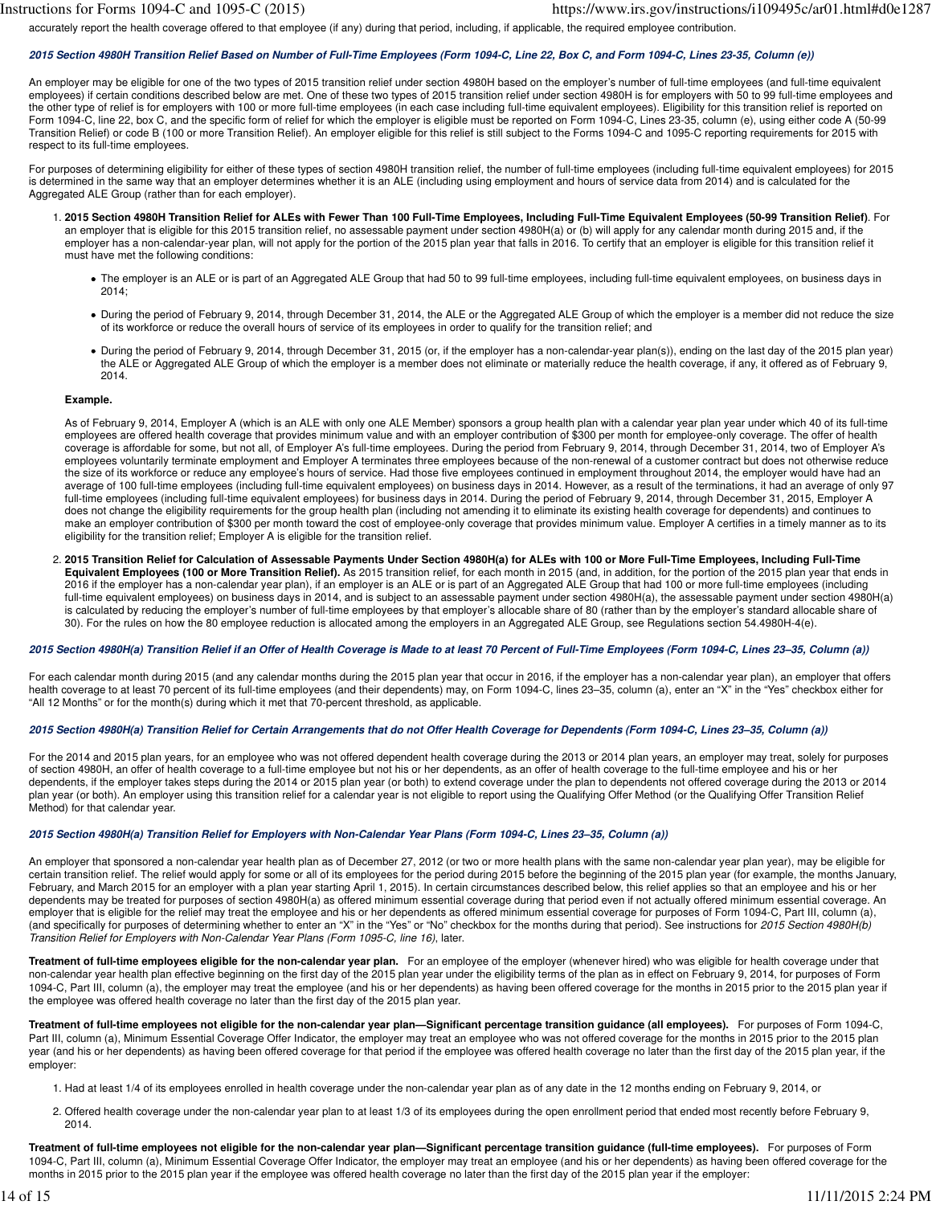accurately report the health coverage offered to that employee (if any) during that period, including, if applicable, the required employee contribution.

## **2015 Section 4980H Transition Relief Based on Number of Full-Time Employees (Form 1094-C, Line 22, Box C, and Form 1094-C, Lines 23-35, Column (e))**

An employer may be eligible for one of the two types of 2015 transition relief under section 4980H based on the employer's number of full-time employees (and full-time equivalent employees) if certain conditions described below are met. One of these two types of 2015 transition relief under section 4980H is for employers with 50 to 99 full-time employees and the other type of relief is for employers with 100 or more full-time employees (in each case including full-time equivalent employees). Eligibility for this transition relief is reported on Form 1094-C, line 22, box C, and the specific form of relief for which the employer is eligible must be reported on Form 1094-C, Lines 23-35, column (e), using either code A (50-99 Transition Relief) or code B (100 or more Transition Relief). An employer eligible for this relief is still subject to the Forms 1094-C and 1095-C reporting requirements for 2015 with respect to its full-time employees.

For purposes of determining eligibility for either of these types of section 4980H transition relief, the number of full-time employees (including full-time equivalent employees) for 2015 is determined in the same way that an employer determines whether it is an ALE (including using employment and hours of service data from 2014) and is calculated for the Aggregated ALE Group (rather than for each employer).

- **2015 Section 4980H Transition Relief for ALEs with Fewer Than 100 Full-Time Employees, Including Full-Time Equivalent Employees (50-99 Transition Relief)**. For 1. an employer that is eligible for this 2015 transition relief, no assessable payment under section 4980H(a) or (b) will apply for any calendar month during 2015 and, if the employer has a non-calendar-year plan, will not apply for the portion of the 2015 plan year that falls in 2016. To certify that an employer is eligible for this transition relief it must have met the following conditions:
	- The employer is an ALE or is part of an Aggregated ALE Group that had 50 to 99 full-time employees, including full-time equivalent employees, on business days in 2014;
	- During the period of February 9, 2014, through December 31, 2014, the ALE or the Aggregated ALE Group of which the employer is a member did not reduce the size of its workforce or reduce the overall hours of service of its employees in order to qualify for the transition relief; and
	- During the period of February 9, 2014, through December 31, 2015 (or, if the employer has a non-calendar-year plan(s)), ending on the last day of the 2015 plan year) the ALE or Aggregated ALE Group of which the employer is a member does not eliminate or materially reduce the health coverage, if any, it offered as of February 9, 2014.

#### **Example.**

As of February 9, 2014, Employer A (which is an ALE with only one ALE Member) sponsors a group health plan with a calendar year plan year under which 40 of its full-time employees are offered health coverage that provides minimum value and with an employer contribution of \$300 per month for employee-only coverage. The offer of health coverage is affordable for some, but not all, of Employer A's full-time employees. During the period from February 9, 2014, through December 31, 2014, two of Employer A's employees voluntarily terminate employment and Employer A terminates three employees because of the non-renewal of a customer contract but does not otherwise reduce the size of its workforce or reduce any employee's hours of service. Had those five employees continued in employment throughout 2014, the employer would have had an average of 100 full-time employees (including full-time equivalent employees) on business days in 2014. However, as a result of the terminations, it had an average of only 97 full-time employees (including full-time equivalent employees) for business days in 2014. During the period of February 9, 2014, through December 31, 2015, Employer A does not change the eligibility requirements for the group health plan (including not amending it to eliminate its existing health coverage for dependents) and continues to make an employer contribution of \$300 per month toward the cost of employee-only coverage that provides minimum value. Employer A certifies in a timely manner as to its eligibility for the transition relief; Employer A is eligible for the transition relief.

**2015 Transition Relief for Calculation of Assessable Payments Under Section 4980H(a) for ALEs with 100 or More Full-Time Employees, Including Full-Time** 2. **Equivalent Employees (100 or More Transition Relief).** As 2015 transition relief, for each month in 2015 (and, in addition, for the portion of the 2015 plan year that ends in 2016 if the employer has a non-calendar year plan), if an employer is an ALE or is part of an Aggregated ALE Group that had 100 or more full-time employees (including full-time equivalent employees) on business days in 2014, and is subject to an assessable payment under section 4980H(a), the assessable payment under section 4980H(a) is calculated by reducing the employer's number of full-time employees by that employer's allocable share of 80 (rather than by the employer's standard allocable share of 30). For the rules on how the 80 employee reduction is allocated among the employers in an Aggregated ALE Group, see Regulations section 54.4980H-4(e).

## **2015 Section 4980H(a) Transition Relief if an Offer of Health Coverage is Made to at least 70 Percent of Full-Time Employees (Form 1094-C, Lines 23–35, Column (a))**

For each calendar month during 2015 (and any calendar months during the 2015 plan year that occur in 2016, if the employer has a non-calendar year plan), an employer that offers health coverage to at least 70 percent of its full-time employees (and their dependents) may, on Form 1094-C, lines 23-35, column (a), enter an "X" in the "Yes" checkbox either for "All 12 Months" or for the month(s) during which it met that 70-percent threshold, as applicable.

# **2015 Section 4980H(a) Transition Relief for Certain Arrangements that do not Offer Health Coverage for Dependents (Form 1094-C, Lines 23–35, Column (a))**

For the 2014 and 2015 plan years, for an employee who was not offered dependent health coverage during the 2013 or 2014 plan years, an employer may treat, solely for purposes of section 4980H, an offer of health coverage to a full-time employee but not his or her dependents, as an offer of health coverage to the full-time employee and his or her dependents, if the employer takes steps during the 2014 or 2015 plan year (or both) to extend coverage under the plan to dependents not offered coverage during the 2013 or 2014 plan year (or both). An employer using this transition relief for a calendar year is not eligible to report using the Qualifying Offer Method (or the Qualifying Offer Transition Relief Method) for that calendar year.

## **2015 Section 4980H(a) Transition Relief for Employers with Non-Calendar Year Plans (Form 1094-C, Lines 23–35, Column (a))**

An employer that sponsored a non-calendar year health plan as of December 27, 2012 (or two or more health plans with the same non-calendar year plan year), may be eligible for certain transition relief. The relief would apply for some or all of its employees for the period during 2015 before the beginning of the 2015 plan year (for example, the months January, February, and March 2015 for an employer with a plan year starting April 1, 2015). In certain circumstances described below, this relief applies so that an employee and his or her dependents may be treated for purposes of section 4980H(a) as offered minimum essential coverage during that period even if not actually offered minimum essential coverage. An employer that is eligible for the relief may treat the employee and his or her dependents as offered minimum essential coverage for purposes of Form 1094-C, Part III, column (a), (and specifically for purposes of determining whether to enter an "X" in the "Yes" or "No" checkbox for the months during that period). See instructions for 2015 Section 4980H(b) Transition Relief for Employers with Non-Calendar Year Plans (Form 1095-C, line 16), later.

**Treatment of full-time employees eligible for the non-calendar year plan.** For an employee of the employer (whenever hired) who was eligible for health coverage under that non-calendar year health plan effective beginning on the first day of the 2015 plan year under the eligibility terms of the plan as in effect on February 9, 2014, for purposes of Form 1094-C, Part III, column (a), the employer may treat the employee (and his or her dependents) as having been offered coverage for the months in 2015 prior to the 2015 plan year if the employee was offered health coverage no later than the first day of the 2015 plan year.

**Treatment of full-time employees not eligible for the non-calendar year plan—Significant percentage transition guidance (all employees).** For purposes of Form 1094-C, Part III, column (a), Minimum Essential Coverage Offer Indicator, the employer may treat an employee who was not offered coverage for the months in 2015 prior to the 2015 plan year (and his or her dependents) as having been offered coverage for that period if the employee was offered health coverage no later than the first day of the 2015 plan year, if the employer:

- 1. Had at least 1/4 of its employees enrolled in health coverage under the non-calendar year plan as of any date in the 12 months ending on February 9, 2014, or
- 2. Offered health coverage under the non-calendar year plan to at least 1/3 of its employees during the open enrollment period that ended most recently before February 9, 2014.

**Treatment of full-time employees not eligible for the non-calendar year plan—Significant percentage transition guidance (full-time employees).** For purposes of Form 1094-C, Part III, column (a), Minimum Essential Coverage Offer Indicator, the employer may treat an employee (and his or her dependents) as having been offered coverage for the months in 2015 prior to the 2015 plan year if the employee was offered health coverage no later than the first day of the 2015 plan year if the employer: